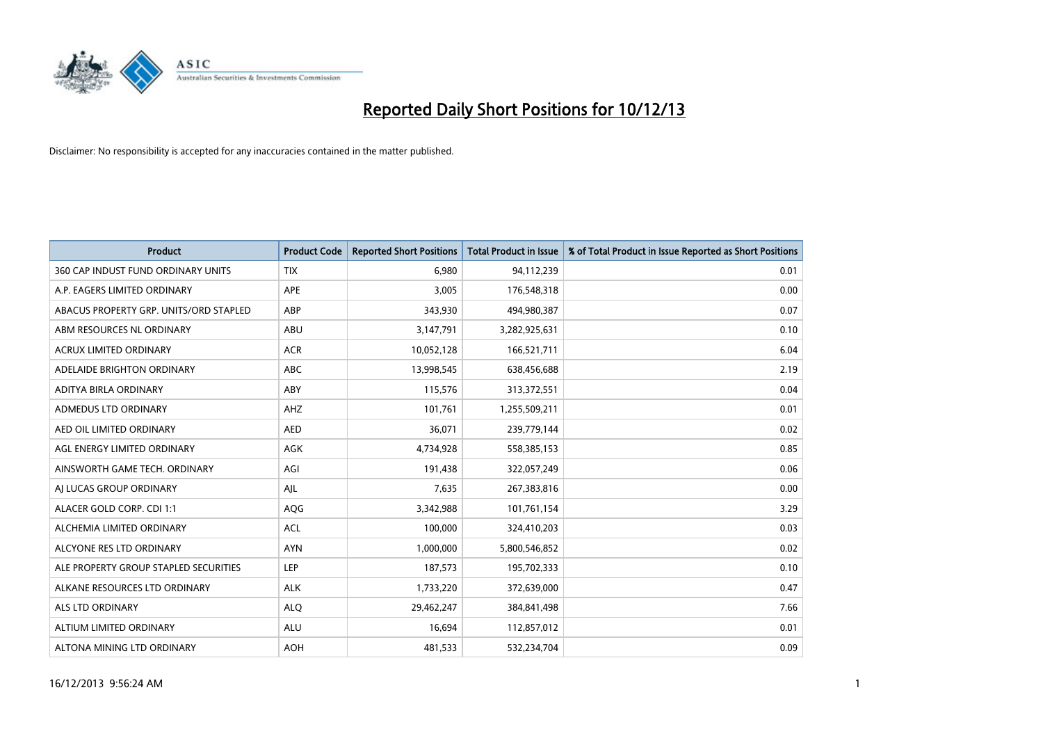

| <b>Product</b>                         | <b>Product Code</b> | <b>Reported Short Positions</b> | <b>Total Product in Issue</b> | % of Total Product in Issue Reported as Short Positions |
|----------------------------------------|---------------------|---------------------------------|-------------------------------|---------------------------------------------------------|
| 360 CAP INDUST FUND ORDINARY UNITS     | <b>TIX</b>          | 6,980                           | 94,112,239                    | 0.01                                                    |
| A.P. EAGERS LIMITED ORDINARY           | APE                 | 3,005                           | 176,548,318                   | 0.00                                                    |
| ABACUS PROPERTY GRP. UNITS/ORD STAPLED | ABP                 | 343,930                         | 494,980,387                   | 0.07                                                    |
| ABM RESOURCES NL ORDINARY              | ABU                 | 3,147,791                       | 3,282,925,631                 | 0.10                                                    |
| <b>ACRUX LIMITED ORDINARY</b>          | <b>ACR</b>          | 10,052,128                      | 166,521,711                   | 6.04                                                    |
| ADELAIDE BRIGHTON ORDINARY             | ABC                 | 13,998,545                      | 638,456,688                   | 2.19                                                    |
| ADITYA BIRLA ORDINARY                  | ABY                 | 115,576                         | 313,372,551                   | 0.04                                                    |
| ADMEDUS LTD ORDINARY                   | AHZ                 | 101,761                         | 1,255,509,211                 | 0.01                                                    |
| AED OIL LIMITED ORDINARY               | <b>AED</b>          | 36,071                          | 239,779,144                   | 0.02                                                    |
| AGL ENERGY LIMITED ORDINARY            | <b>AGK</b>          | 4,734,928                       | 558,385,153                   | 0.85                                                    |
| AINSWORTH GAME TECH. ORDINARY          | AGI                 | 191,438                         | 322,057,249                   | 0.06                                                    |
| AI LUCAS GROUP ORDINARY                | AJL                 | 7,635                           | 267,383,816                   | 0.00                                                    |
| ALACER GOLD CORP. CDI 1:1              | AQG                 | 3,342,988                       | 101,761,154                   | 3.29                                                    |
| ALCHEMIA LIMITED ORDINARY              | <b>ACL</b>          | 100,000                         | 324,410,203                   | 0.03                                                    |
| ALCYONE RES LTD ORDINARY               | <b>AYN</b>          | 1,000,000                       | 5,800,546,852                 | 0.02                                                    |
| ALE PROPERTY GROUP STAPLED SECURITIES  | LEP                 | 187,573                         | 195,702,333                   | 0.10                                                    |
| ALKANE RESOURCES LTD ORDINARY          | <b>ALK</b>          | 1,733,220                       | 372,639,000                   | 0.47                                                    |
| ALS LTD ORDINARY                       | <b>ALQ</b>          | 29,462,247                      | 384,841,498                   | 7.66                                                    |
| ALTIUM LIMITED ORDINARY                | <b>ALU</b>          | 16,694                          | 112,857,012                   | 0.01                                                    |
| ALTONA MINING LTD ORDINARY             | <b>AOH</b>          | 481,533                         | 532,234,704                   | 0.09                                                    |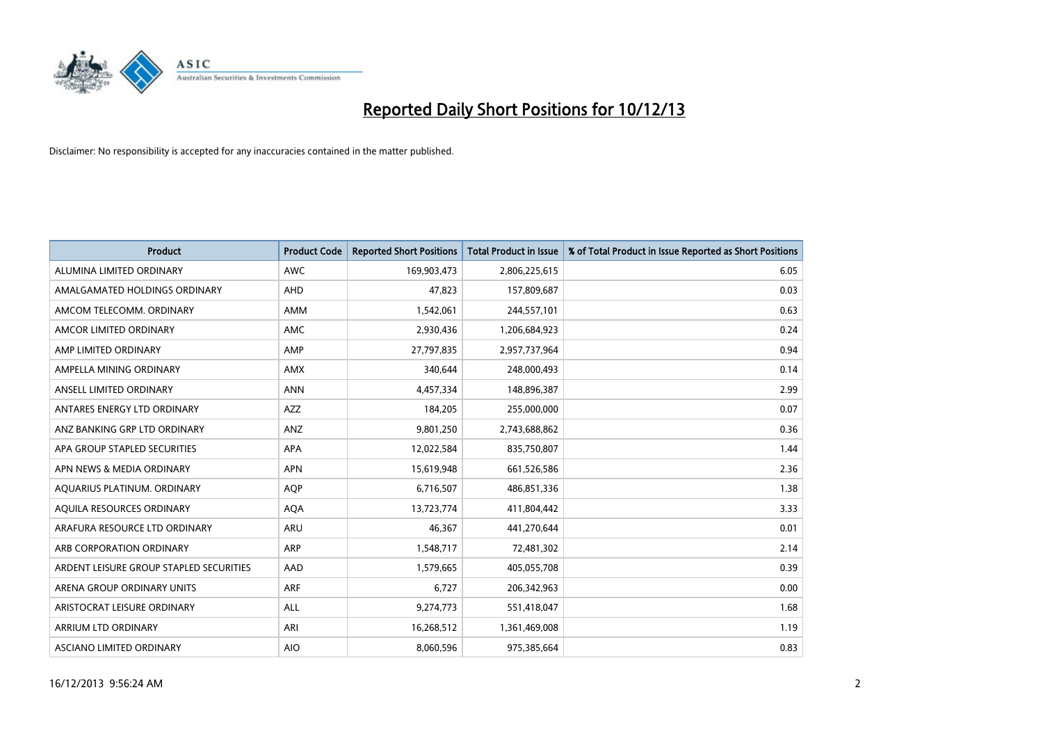

| <b>Product</b>                          | <b>Product Code</b> | <b>Reported Short Positions</b> | <b>Total Product in Issue</b> | % of Total Product in Issue Reported as Short Positions |
|-----------------------------------------|---------------------|---------------------------------|-------------------------------|---------------------------------------------------------|
| ALUMINA LIMITED ORDINARY                | <b>AWC</b>          | 169,903,473                     | 2,806,225,615                 | 6.05                                                    |
| AMALGAMATED HOLDINGS ORDINARY           | AHD                 | 47,823                          | 157,809,687                   | 0.03                                                    |
| AMCOM TELECOMM, ORDINARY                | AMM                 | 1,542,061                       | 244,557,101                   | 0.63                                                    |
| AMCOR LIMITED ORDINARY                  | AMC                 | 2,930,436                       | 1,206,684,923                 | 0.24                                                    |
| AMP LIMITED ORDINARY                    | AMP                 | 27,797,835                      | 2,957,737,964                 | 0.94                                                    |
| AMPELLA MINING ORDINARY                 | <b>AMX</b>          | 340,644                         | 248,000,493                   | 0.14                                                    |
| ANSELL LIMITED ORDINARY                 | <b>ANN</b>          | 4,457,334                       | 148,896,387                   | 2.99                                                    |
| ANTARES ENERGY LTD ORDINARY             | AZZ                 | 184,205                         | 255,000,000                   | 0.07                                                    |
| ANZ BANKING GRP LTD ORDINARY            | ANZ                 | 9,801,250                       | 2,743,688,862                 | 0.36                                                    |
| APA GROUP STAPLED SECURITIES            | <b>APA</b>          | 12,022,584                      | 835,750,807                   | 1.44                                                    |
| APN NEWS & MEDIA ORDINARY               | <b>APN</b>          | 15,619,948                      | 661,526,586                   | 2.36                                                    |
| AQUARIUS PLATINUM. ORDINARY             | AQP                 | 6,716,507                       | 486,851,336                   | 1.38                                                    |
| AQUILA RESOURCES ORDINARY               | <b>AQA</b>          | 13,723,774                      | 411,804,442                   | 3.33                                                    |
| ARAFURA RESOURCE LTD ORDINARY           | ARU                 | 46,367                          | 441,270,644                   | 0.01                                                    |
| ARB CORPORATION ORDINARY                | ARP                 | 1,548,717                       | 72,481,302                    | 2.14                                                    |
| ARDENT LEISURE GROUP STAPLED SECURITIES | AAD                 | 1,579,665                       | 405,055,708                   | 0.39                                                    |
| ARENA GROUP ORDINARY UNITS              | <b>ARF</b>          | 6,727                           | 206,342,963                   | 0.00                                                    |
| ARISTOCRAT LEISURE ORDINARY             | <b>ALL</b>          | 9,274,773                       | 551,418,047                   | 1.68                                                    |
| ARRIUM LTD ORDINARY                     | ARI                 | 16,268,512                      | 1,361,469,008                 | 1.19                                                    |
| ASCIANO LIMITED ORDINARY                | <b>AIO</b>          | 8,060,596                       | 975,385,664                   | 0.83                                                    |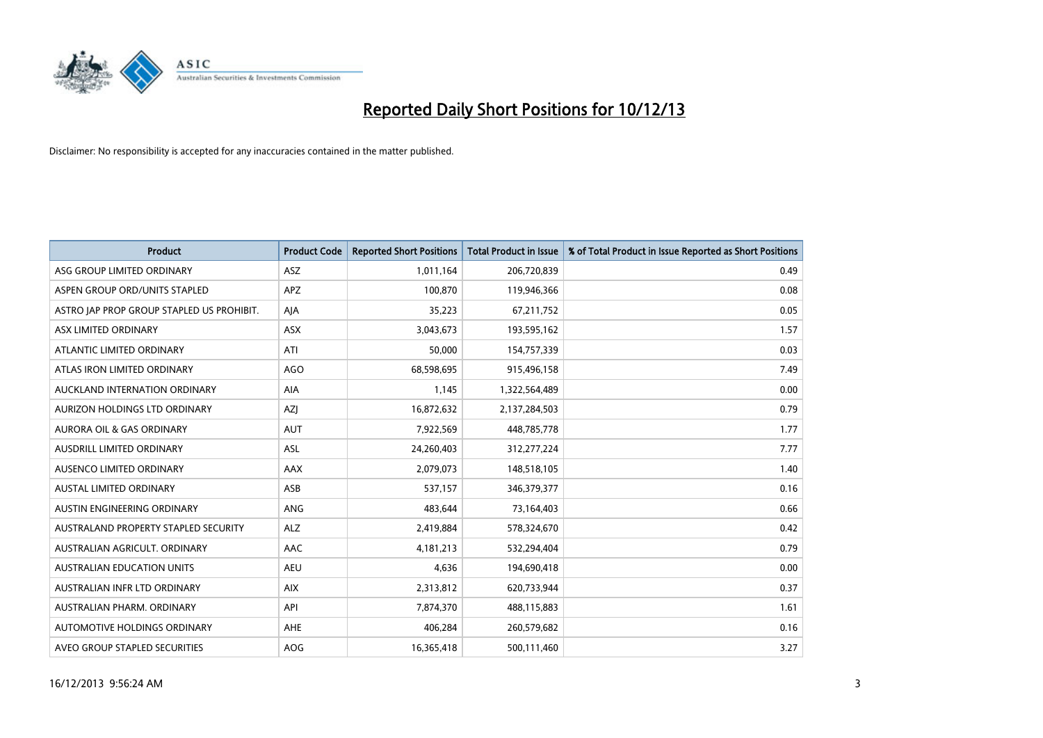

| <b>Product</b>                            | <b>Product Code</b> | <b>Reported Short Positions</b> | <b>Total Product in Issue</b> | % of Total Product in Issue Reported as Short Positions |
|-------------------------------------------|---------------------|---------------------------------|-------------------------------|---------------------------------------------------------|
| ASG GROUP LIMITED ORDINARY                | <b>ASZ</b>          | 1,011,164                       | 206,720,839                   | 0.49                                                    |
| ASPEN GROUP ORD/UNITS STAPLED             | APZ                 | 100,870                         | 119,946,366                   | 0.08                                                    |
| ASTRO JAP PROP GROUP STAPLED US PROHIBIT. | AJA                 | 35,223                          | 67,211,752                    | 0.05                                                    |
| ASX LIMITED ORDINARY                      | ASX                 | 3,043,673                       | 193,595,162                   | 1.57                                                    |
| ATLANTIC LIMITED ORDINARY                 | ATI                 | 50,000                          | 154,757,339                   | 0.03                                                    |
| ATLAS IRON LIMITED ORDINARY               | <b>AGO</b>          | 68,598,695                      | 915,496,158                   | 7.49                                                    |
| AUCKLAND INTERNATION ORDINARY             | AIA                 | 1,145                           | 1,322,564,489                 | 0.00                                                    |
| AURIZON HOLDINGS LTD ORDINARY             | AZJ                 | 16,872,632                      | 2,137,284,503                 | 0.79                                                    |
| <b>AURORA OIL &amp; GAS ORDINARY</b>      | <b>AUT</b>          | 7,922,569                       | 448,785,778                   | 1.77                                                    |
| AUSDRILL LIMITED ORDINARY                 | <b>ASL</b>          | 24,260,403                      | 312,277,224                   | 7.77                                                    |
| AUSENCO LIMITED ORDINARY                  | AAX                 | 2,079,073                       | 148,518,105                   | 1.40                                                    |
| <b>AUSTAL LIMITED ORDINARY</b>            | ASB                 | 537,157                         | 346,379,377                   | 0.16                                                    |
| AUSTIN ENGINEERING ORDINARY               | ANG                 | 483,644                         | 73,164,403                    | 0.66                                                    |
| AUSTRALAND PROPERTY STAPLED SECURITY      | <b>ALZ</b>          | 2,419,884                       | 578,324,670                   | 0.42                                                    |
| AUSTRALIAN AGRICULT, ORDINARY             | <b>AAC</b>          | 4,181,213                       | 532,294,404                   | 0.79                                                    |
| <b>AUSTRALIAN EDUCATION UNITS</b>         | <b>AEU</b>          | 4,636                           | 194,690,418                   | 0.00                                                    |
| AUSTRALIAN INFR LTD ORDINARY              | <b>AIX</b>          | 2,313,812                       | 620,733,944                   | 0.37                                                    |
| AUSTRALIAN PHARM. ORDINARY                | API                 | 7,874,370                       | 488,115,883                   | 1.61                                                    |
| AUTOMOTIVE HOLDINGS ORDINARY              | AHE                 | 406,284                         | 260,579,682                   | 0.16                                                    |
| AVEO GROUP STAPLED SECURITIES             | AOG                 | 16,365,418                      | 500,111,460                   | 3.27                                                    |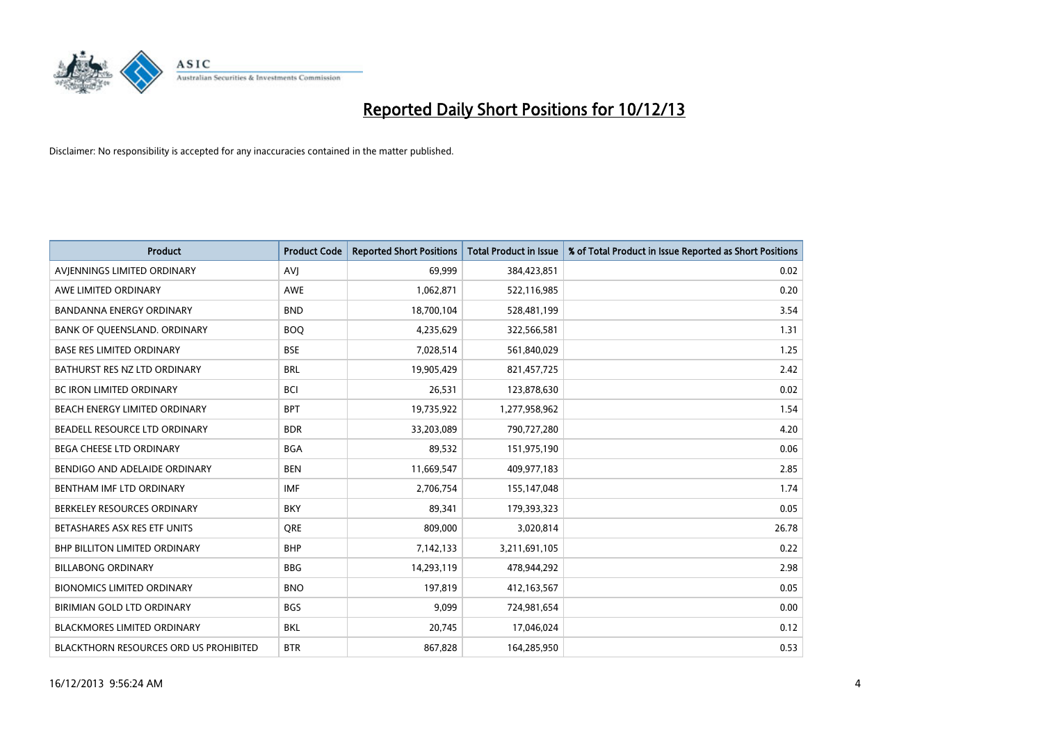

| <b>Product</b>                         | <b>Product Code</b> | <b>Reported Short Positions</b> | <b>Total Product in Issue</b> | % of Total Product in Issue Reported as Short Positions |
|----------------------------------------|---------------------|---------------------------------|-------------------------------|---------------------------------------------------------|
| AVIENNINGS LIMITED ORDINARY            | <b>AVJ</b>          | 69,999                          | 384,423,851                   | 0.02                                                    |
| AWE LIMITED ORDINARY                   | AWE                 | 1,062,871                       | 522,116,985                   | 0.20                                                    |
| <b>BANDANNA ENERGY ORDINARY</b>        | <b>BND</b>          | 18,700,104                      | 528,481,199                   | 3.54                                                    |
| BANK OF QUEENSLAND. ORDINARY           | <b>BOO</b>          | 4,235,629                       | 322,566,581                   | 1.31                                                    |
| <b>BASE RES LIMITED ORDINARY</b>       | <b>BSE</b>          | 7,028,514                       | 561,840,029                   | 1.25                                                    |
| BATHURST RES NZ LTD ORDINARY           | <b>BRL</b>          | 19,905,429                      | 821,457,725                   | 2.42                                                    |
| <b>BC IRON LIMITED ORDINARY</b>        | <b>BCI</b>          | 26,531                          | 123,878,630                   | 0.02                                                    |
| BEACH ENERGY LIMITED ORDINARY          | <b>BPT</b>          | 19,735,922                      | 1,277,958,962                 | 1.54                                                    |
| BEADELL RESOURCE LTD ORDINARY          | <b>BDR</b>          | 33,203,089                      | 790,727,280                   | 4.20                                                    |
| <b>BEGA CHEESE LTD ORDINARY</b>        | <b>BGA</b>          | 89,532                          | 151,975,190                   | 0.06                                                    |
| BENDIGO AND ADELAIDE ORDINARY          | <b>BEN</b>          | 11,669,547                      | 409,977,183                   | 2.85                                                    |
| BENTHAM IMF LTD ORDINARY               | <b>IMF</b>          | 2,706,754                       | 155,147,048                   | 1.74                                                    |
| BERKELEY RESOURCES ORDINARY            | <b>BKY</b>          | 89,341                          | 179,393,323                   | 0.05                                                    |
| BETASHARES ASX RES ETF UNITS           | <b>ORE</b>          | 809,000                         | 3,020,814                     | 26.78                                                   |
| <b>BHP BILLITON LIMITED ORDINARY</b>   | <b>BHP</b>          | 7,142,133                       | 3,211,691,105                 | 0.22                                                    |
| <b>BILLABONG ORDINARY</b>              | <b>BBG</b>          | 14,293,119                      | 478,944,292                   | 2.98                                                    |
| <b>BIONOMICS LIMITED ORDINARY</b>      | <b>BNO</b>          | 197,819                         | 412,163,567                   | 0.05                                                    |
| BIRIMIAN GOLD LTD ORDINARY             | <b>BGS</b>          | 9,099                           | 724,981,654                   | 0.00                                                    |
| <b>BLACKMORES LIMITED ORDINARY</b>     | <b>BKL</b>          | 20,745                          | 17,046,024                    | 0.12                                                    |
| BLACKTHORN RESOURCES ORD US PROHIBITED | <b>BTR</b>          | 867,828                         | 164,285,950                   | 0.53                                                    |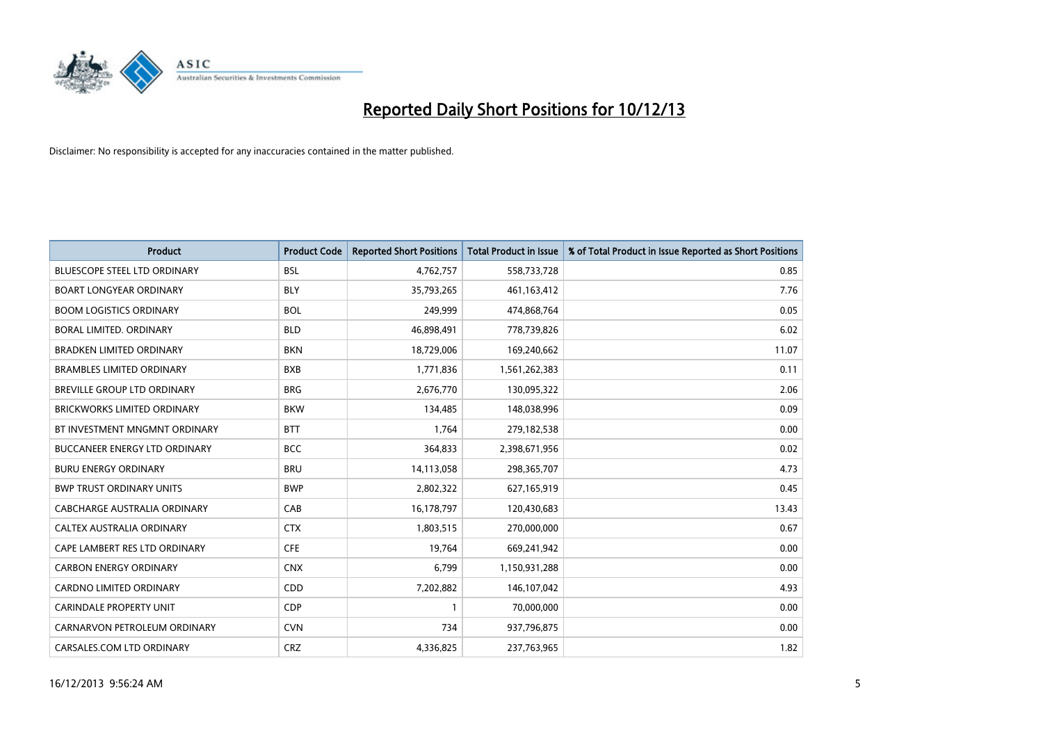

| <b>Product</b>                       | <b>Product Code</b> | <b>Reported Short Positions</b> | <b>Total Product in Issue</b> | % of Total Product in Issue Reported as Short Positions |
|--------------------------------------|---------------------|---------------------------------|-------------------------------|---------------------------------------------------------|
| BLUESCOPE STEEL LTD ORDINARY         | <b>BSL</b>          | 4,762,757                       | 558,733,728                   | 0.85                                                    |
| <b>BOART LONGYEAR ORDINARY</b>       | <b>BLY</b>          | 35,793,265                      | 461, 163, 412                 | 7.76                                                    |
| <b>BOOM LOGISTICS ORDINARY</b>       | <b>BOL</b>          | 249,999                         | 474,868,764                   | 0.05                                                    |
| BORAL LIMITED. ORDINARY              | <b>BLD</b>          | 46,898,491                      | 778,739,826                   | 6.02                                                    |
| <b>BRADKEN LIMITED ORDINARY</b>      | <b>BKN</b>          | 18,729,006                      | 169,240,662                   | 11.07                                                   |
| <b>BRAMBLES LIMITED ORDINARY</b>     | <b>BXB</b>          | 1,771,836                       | 1,561,262,383                 | 0.11                                                    |
| BREVILLE GROUP LTD ORDINARY          | <b>BRG</b>          | 2,676,770                       | 130,095,322                   | 2.06                                                    |
| <b>BRICKWORKS LIMITED ORDINARY</b>   | <b>BKW</b>          | 134,485                         | 148,038,996                   | 0.09                                                    |
| BT INVESTMENT MNGMNT ORDINARY        | <b>BTT</b>          | 1,764                           | 279,182,538                   | 0.00                                                    |
| <b>BUCCANEER ENERGY LTD ORDINARY</b> | <b>BCC</b>          | 364,833                         | 2,398,671,956                 | 0.02                                                    |
| <b>BURU ENERGY ORDINARY</b>          | <b>BRU</b>          | 14,113,058                      | 298,365,707                   | 4.73                                                    |
| <b>BWP TRUST ORDINARY UNITS</b>      | <b>BWP</b>          | 2,802,322                       | 627,165,919                   | 0.45                                                    |
| <b>CABCHARGE AUSTRALIA ORDINARY</b>  | CAB                 | 16,178,797                      | 120,430,683                   | 13.43                                                   |
| CALTEX AUSTRALIA ORDINARY            | <b>CTX</b>          | 1,803,515                       | 270,000,000                   | 0.67                                                    |
| CAPE LAMBERT RES LTD ORDINARY        | <b>CFE</b>          | 19,764                          | 669,241,942                   | 0.00                                                    |
| <b>CARBON ENERGY ORDINARY</b>        | <b>CNX</b>          | 6,799                           | 1,150,931,288                 | 0.00                                                    |
| CARDNO LIMITED ORDINARY              | CDD                 | 7,202,882                       | 146, 107, 042                 | 4.93                                                    |
| <b>CARINDALE PROPERTY UNIT</b>       | <b>CDP</b>          | 1                               | 70,000,000                    | 0.00                                                    |
| CARNARVON PETROLEUM ORDINARY         | <b>CVN</b>          | 734                             | 937,796,875                   | 0.00                                                    |
| CARSALES.COM LTD ORDINARY            | <b>CRZ</b>          | 4,336,825                       | 237,763,965                   | 1.82                                                    |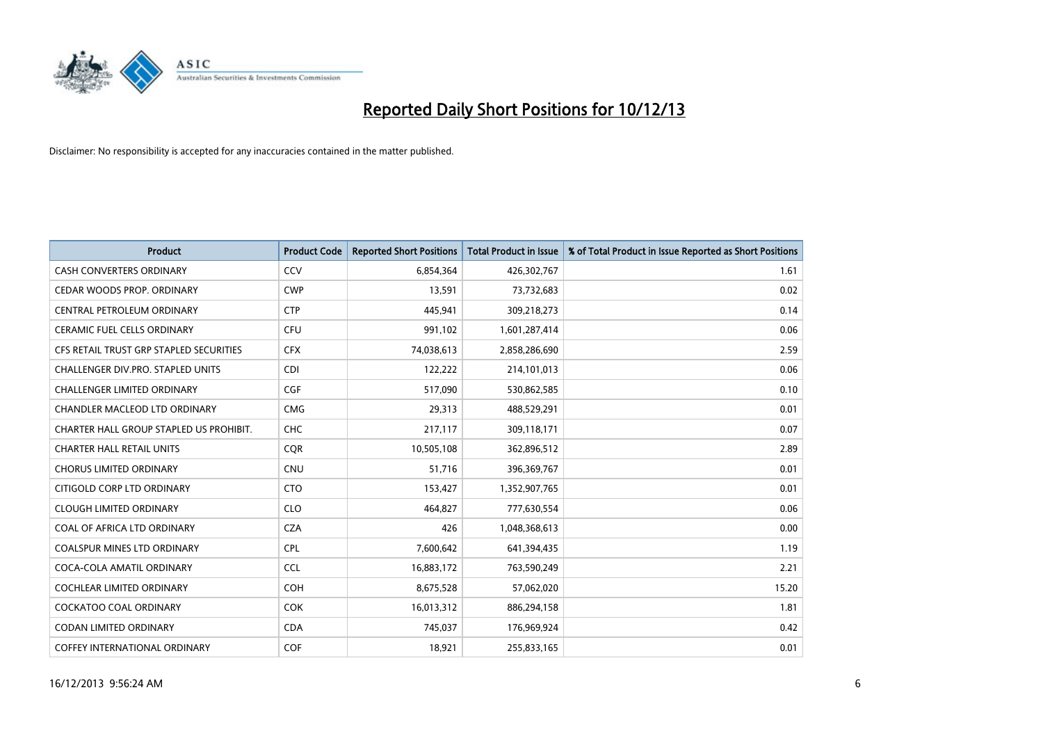

| Product                                 | <b>Product Code</b> | <b>Reported Short Positions</b> | <b>Total Product in Issue</b> | % of Total Product in Issue Reported as Short Positions |
|-----------------------------------------|---------------------|---------------------------------|-------------------------------|---------------------------------------------------------|
| <b>CASH CONVERTERS ORDINARY</b>         | CCV                 | 6,854,364                       | 426,302,767                   | 1.61                                                    |
| CEDAR WOODS PROP. ORDINARY              | <b>CWP</b>          | 13,591                          | 73,732,683                    | 0.02                                                    |
| CENTRAL PETROLEUM ORDINARY              | <b>CTP</b>          | 445,941                         | 309,218,273                   | 0.14                                                    |
| CERAMIC FUEL CELLS ORDINARY             | <b>CFU</b>          | 991,102                         | 1,601,287,414                 | 0.06                                                    |
| CFS RETAIL TRUST GRP STAPLED SECURITIES | <b>CFX</b>          | 74,038,613                      | 2,858,286,690                 | 2.59                                                    |
| CHALLENGER DIV.PRO. STAPLED UNITS       | <b>CDI</b>          | 122,222                         | 214,101,013                   | 0.06                                                    |
| <b>CHALLENGER LIMITED ORDINARY</b>      | <b>CGF</b>          | 517,090                         | 530,862,585                   | 0.10                                                    |
| CHANDLER MACLEOD LTD ORDINARY           | <b>CMG</b>          | 29,313                          | 488,529,291                   | 0.01                                                    |
| CHARTER HALL GROUP STAPLED US PROHIBIT. | <b>CHC</b>          | 217,117                         | 309,118,171                   | 0.07                                                    |
| <b>CHARTER HALL RETAIL UNITS</b>        | <b>CQR</b>          | 10,505,108                      | 362,896,512                   | 2.89                                                    |
| <b>CHORUS LIMITED ORDINARY</b>          | <b>CNU</b>          | 51,716                          | 396,369,767                   | 0.01                                                    |
| CITIGOLD CORP LTD ORDINARY              | <b>CTO</b>          | 153,427                         | 1,352,907,765                 | 0.01                                                    |
| <b>CLOUGH LIMITED ORDINARY</b>          | <b>CLO</b>          | 464,827                         | 777,630,554                   | 0.06                                                    |
| COAL OF AFRICA LTD ORDINARY             | <b>CZA</b>          | 426                             | 1,048,368,613                 | 0.00                                                    |
| <b>COALSPUR MINES LTD ORDINARY</b>      | <b>CPL</b>          | 7,600,642                       | 641,394,435                   | 1.19                                                    |
| COCA-COLA AMATIL ORDINARY               | <b>CCL</b>          | 16,883,172                      | 763,590,249                   | 2.21                                                    |
| <b>COCHLEAR LIMITED ORDINARY</b>        | <b>COH</b>          | 8,675,528                       | 57,062,020                    | 15.20                                                   |
| COCKATOO COAL ORDINARY                  | <b>COK</b>          | 16,013,312                      | 886,294,158                   | 1.81                                                    |
| CODAN LIMITED ORDINARY                  | <b>CDA</b>          | 745,037                         | 176,969,924                   | 0.42                                                    |
| COFFEY INTERNATIONAL ORDINARY           | COF                 | 18,921                          | 255,833,165                   | 0.01                                                    |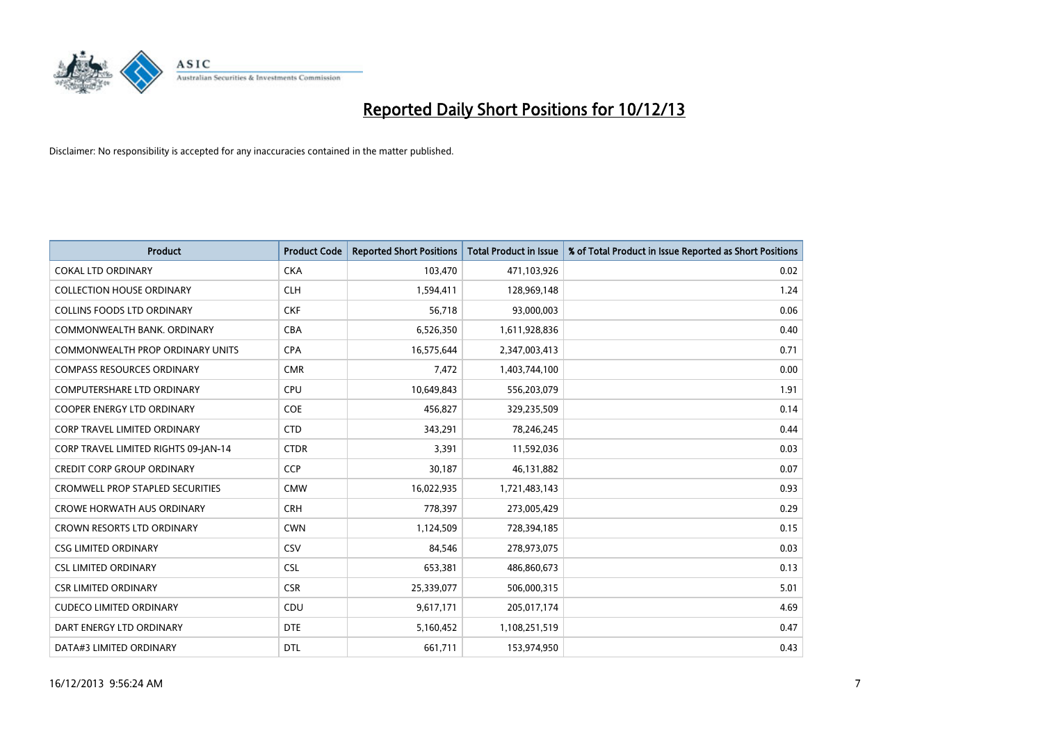

| <b>Product</b>                          | <b>Product Code</b> | <b>Reported Short Positions</b> | <b>Total Product in Issue</b> | % of Total Product in Issue Reported as Short Positions |
|-----------------------------------------|---------------------|---------------------------------|-------------------------------|---------------------------------------------------------|
| <b>COKAL LTD ORDINARY</b>               | <b>CKA</b>          | 103,470                         | 471,103,926                   | 0.02                                                    |
| <b>COLLECTION HOUSE ORDINARY</b>        | <b>CLH</b>          | 1,594,411                       | 128,969,148                   | 1.24                                                    |
| <b>COLLINS FOODS LTD ORDINARY</b>       | <b>CKF</b>          | 56,718                          | 93,000,003                    | 0.06                                                    |
| COMMONWEALTH BANK, ORDINARY             | <b>CBA</b>          | 6,526,350                       | 1,611,928,836                 | 0.40                                                    |
| <b>COMMONWEALTH PROP ORDINARY UNITS</b> | <b>CPA</b>          | 16,575,644                      | 2,347,003,413                 | 0.71                                                    |
| <b>COMPASS RESOURCES ORDINARY</b>       | <b>CMR</b>          | 7,472                           | 1,403,744,100                 | 0.00                                                    |
| <b>COMPUTERSHARE LTD ORDINARY</b>       | <b>CPU</b>          | 10,649,843                      | 556,203,079                   | 1.91                                                    |
| <b>COOPER ENERGY LTD ORDINARY</b>       | <b>COE</b>          | 456,827                         | 329,235,509                   | 0.14                                                    |
| CORP TRAVEL LIMITED ORDINARY            | <b>CTD</b>          | 343,291                         | 78,246,245                    | 0.44                                                    |
| CORP TRAVEL LIMITED RIGHTS 09-JAN-14    | <b>CTDR</b>         | 3,391                           | 11,592,036                    | 0.03                                                    |
| <b>CREDIT CORP GROUP ORDINARY</b>       | <b>CCP</b>          | 30,187                          | 46,131,882                    | 0.07                                                    |
| <b>CROMWELL PROP STAPLED SECURITIES</b> | <b>CMW</b>          | 16,022,935                      | 1,721,483,143                 | 0.93                                                    |
| <b>CROWE HORWATH AUS ORDINARY</b>       | <b>CRH</b>          | 778,397                         | 273,005,429                   | 0.29                                                    |
| CROWN RESORTS LTD ORDINARY              | <b>CWN</b>          | 1,124,509                       | 728,394,185                   | 0.15                                                    |
| <b>CSG LIMITED ORDINARY</b>             | CSV                 | 84,546                          | 278,973,075                   | 0.03                                                    |
| <b>CSL LIMITED ORDINARY</b>             | <b>CSL</b>          | 653,381                         | 486,860,673                   | 0.13                                                    |
| <b>CSR LIMITED ORDINARY</b>             | <b>CSR</b>          | 25,339,077                      | 506,000,315                   | 5.01                                                    |
| <b>CUDECO LIMITED ORDINARY</b>          | <b>CDU</b>          | 9,617,171                       | 205,017,174                   | 4.69                                                    |
| DART ENERGY LTD ORDINARY                | <b>DTE</b>          | 5,160,452                       | 1,108,251,519                 | 0.47                                                    |
| DATA#3 LIMITED ORDINARY                 | <b>DTL</b>          | 661,711                         | 153,974,950                   | 0.43                                                    |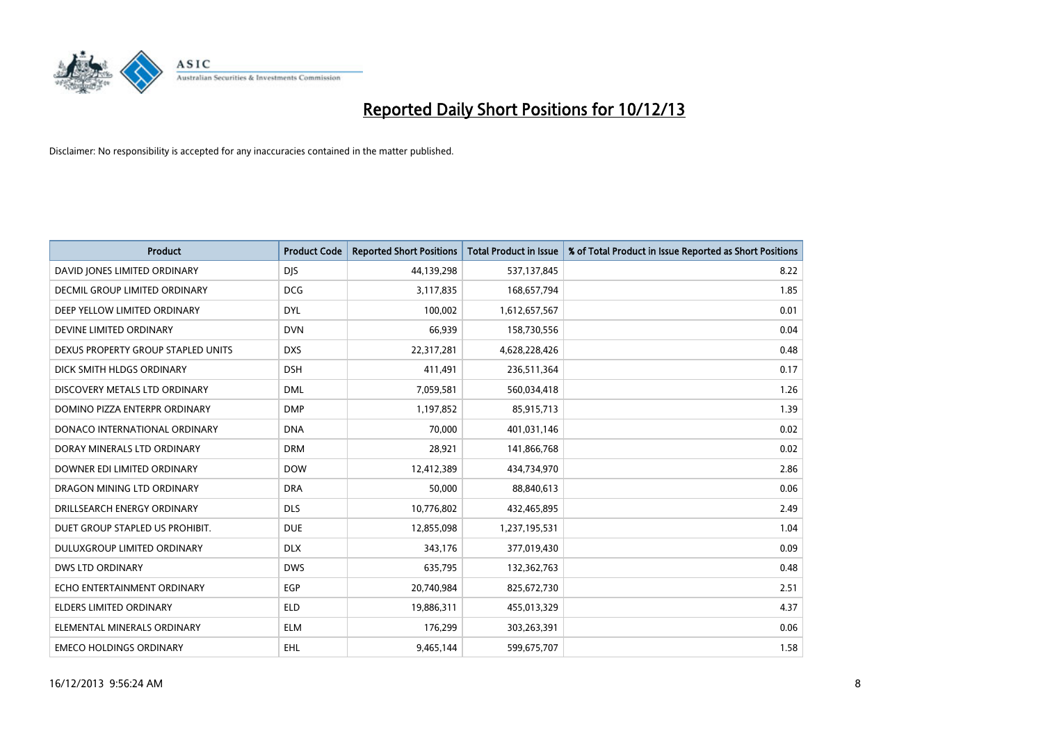

| <b>Product</b>                       | <b>Product Code</b> | <b>Reported Short Positions</b> | <b>Total Product in Issue</b> | % of Total Product in Issue Reported as Short Positions |
|--------------------------------------|---------------------|---------------------------------|-------------------------------|---------------------------------------------------------|
| DAVID JONES LIMITED ORDINARY         | <b>DJS</b>          | 44,139,298                      | 537,137,845                   | 8.22                                                    |
| <b>DECMIL GROUP LIMITED ORDINARY</b> | <b>DCG</b>          | 3,117,835                       | 168,657,794                   | 1.85                                                    |
| DEEP YELLOW LIMITED ORDINARY         | <b>DYL</b>          | 100,002                         | 1,612,657,567                 | 0.01                                                    |
| DEVINE LIMITED ORDINARY              | <b>DVN</b>          | 66,939                          | 158,730,556                   | 0.04                                                    |
| DEXUS PROPERTY GROUP STAPLED UNITS   | <b>DXS</b>          | 22,317,281                      | 4,628,228,426                 | 0.48                                                    |
| DICK SMITH HLDGS ORDINARY            | <b>DSH</b>          | 411,491                         | 236,511,364                   | 0.17                                                    |
| DISCOVERY METALS LTD ORDINARY        | <b>DML</b>          | 7,059,581                       | 560,034,418                   | 1.26                                                    |
| DOMINO PIZZA ENTERPR ORDINARY        | <b>DMP</b>          | 1,197,852                       | 85,915,713                    | 1.39                                                    |
| DONACO INTERNATIONAL ORDINARY        | <b>DNA</b>          | 70,000                          | 401,031,146                   | 0.02                                                    |
| DORAY MINERALS LTD ORDINARY          | <b>DRM</b>          | 28,921                          | 141,866,768                   | 0.02                                                    |
| DOWNER EDI LIMITED ORDINARY          | <b>DOW</b>          | 12,412,389                      | 434,734,970                   | 2.86                                                    |
| DRAGON MINING LTD ORDINARY           | <b>DRA</b>          | 50,000                          | 88,840,613                    | 0.06                                                    |
| DRILLSEARCH ENERGY ORDINARY          | <b>DLS</b>          | 10,776,802                      | 432,465,895                   | 2.49                                                    |
| DUET GROUP STAPLED US PROHIBIT.      | <b>DUE</b>          | 12,855,098                      | 1,237,195,531                 | 1.04                                                    |
| DULUXGROUP LIMITED ORDINARY          | <b>DLX</b>          | 343,176                         | 377,019,430                   | 0.09                                                    |
| <b>DWS LTD ORDINARY</b>              | <b>DWS</b>          | 635,795                         | 132,362,763                   | 0.48                                                    |
| ECHO ENTERTAINMENT ORDINARY          | <b>EGP</b>          | 20,740,984                      | 825,672,730                   | 2.51                                                    |
| <b>ELDERS LIMITED ORDINARY</b>       | <b>ELD</b>          | 19,886,311                      | 455,013,329                   | 4.37                                                    |
| ELEMENTAL MINERALS ORDINARY          | <b>ELM</b>          | 176,299                         | 303,263,391                   | 0.06                                                    |
| <b>EMECO HOLDINGS ORDINARY</b>       | <b>EHL</b>          | 9,465,144                       | 599,675,707                   | 1.58                                                    |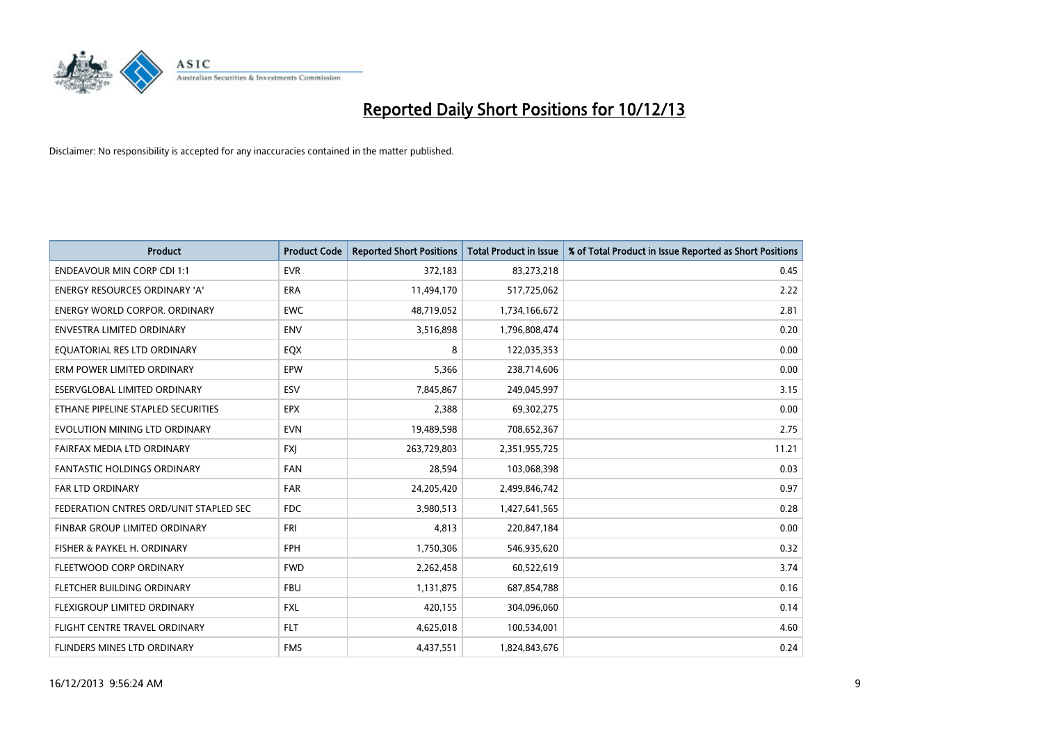

| <b>Product</b>                         | <b>Product Code</b> | <b>Reported Short Positions</b> | <b>Total Product in Issue</b> | % of Total Product in Issue Reported as Short Positions |
|----------------------------------------|---------------------|---------------------------------|-------------------------------|---------------------------------------------------------|
| <b>ENDEAVOUR MIN CORP CDI 1:1</b>      | <b>EVR</b>          | 372,183                         | 83,273,218                    | 0.45                                                    |
| ENERGY RESOURCES ORDINARY 'A'          | <b>ERA</b>          | 11,494,170                      | 517,725,062                   | 2.22                                                    |
| <b>ENERGY WORLD CORPOR, ORDINARY</b>   | <b>EWC</b>          | 48,719,052                      | 1,734,166,672                 | 2.81                                                    |
| <b>ENVESTRA LIMITED ORDINARY</b>       | <b>ENV</b>          | 3,516,898                       | 1,796,808,474                 | 0.20                                                    |
| EQUATORIAL RES LTD ORDINARY            | EQX                 | 8                               | 122,035,353                   | 0.00                                                    |
| ERM POWER LIMITED ORDINARY             | EPW                 | 5,366                           | 238,714,606                   | 0.00                                                    |
| ESERVGLOBAL LIMITED ORDINARY           | ESV                 | 7,845,867                       | 249,045,997                   | 3.15                                                    |
| ETHANE PIPELINE STAPLED SECURITIES     | <b>EPX</b>          | 2,388                           | 69,302,275                    | 0.00                                                    |
| EVOLUTION MINING LTD ORDINARY          | <b>EVN</b>          | 19,489,598                      | 708,652,367                   | 2.75                                                    |
| FAIRFAX MEDIA LTD ORDINARY             | <b>FXJ</b>          | 263,729,803                     | 2,351,955,725                 | 11.21                                                   |
| <b>FANTASTIC HOLDINGS ORDINARY</b>     | <b>FAN</b>          | 28,594                          | 103,068,398                   | 0.03                                                    |
| FAR LTD ORDINARY                       | <b>FAR</b>          | 24,205,420                      | 2,499,846,742                 | 0.97                                                    |
| FEDERATION CNTRES ORD/UNIT STAPLED SEC | <b>FDC</b>          | 3,980,513                       | 1,427,641,565                 | 0.28                                                    |
| FINBAR GROUP LIMITED ORDINARY          | <b>FRI</b>          | 4,813                           | 220,847,184                   | 0.00                                                    |
| FISHER & PAYKEL H. ORDINARY            | <b>FPH</b>          | 1,750,306                       | 546,935,620                   | 0.32                                                    |
| FLEETWOOD CORP ORDINARY                | <b>FWD</b>          | 2,262,458                       | 60,522,619                    | 3.74                                                    |
| FLETCHER BUILDING ORDINARY             | <b>FBU</b>          | 1,131,875                       | 687,854,788                   | 0.16                                                    |
| FLEXIGROUP LIMITED ORDINARY            | <b>FXL</b>          | 420,155                         | 304,096,060                   | 0.14                                                    |
| FLIGHT CENTRE TRAVEL ORDINARY          | <b>FLT</b>          | 4,625,018                       | 100,534,001                   | 4.60                                                    |
| <b>FLINDERS MINES LTD ORDINARY</b>     | <b>FMS</b>          | 4,437,551                       | 1,824,843,676                 | 0.24                                                    |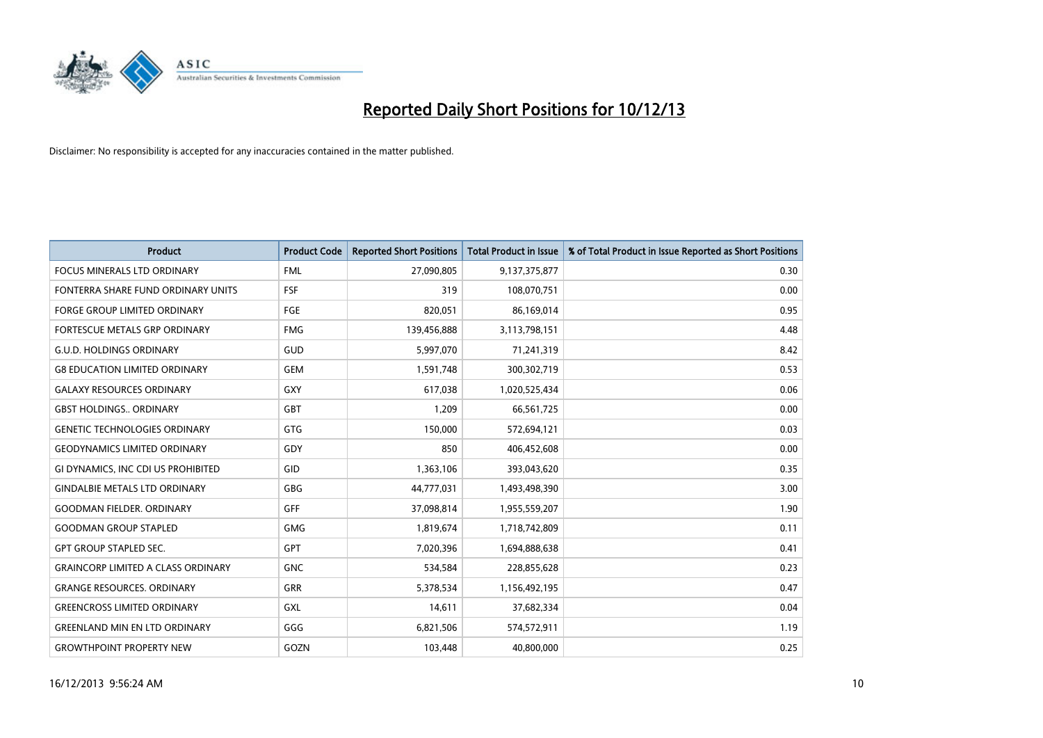

| <b>Product</b>                            | <b>Product Code</b> | <b>Reported Short Positions</b> | <b>Total Product in Issue</b> | % of Total Product in Issue Reported as Short Positions |
|-------------------------------------------|---------------------|---------------------------------|-------------------------------|---------------------------------------------------------|
| <b>FOCUS MINERALS LTD ORDINARY</b>        | <b>FML</b>          | 27,090,805                      | 9,137,375,877                 | 0.30                                                    |
| FONTERRA SHARE FUND ORDINARY UNITS        | <b>FSF</b>          | 319                             | 108,070,751                   | 0.00                                                    |
| <b>FORGE GROUP LIMITED ORDINARY</b>       | FGE                 | 820,051                         | 86,169,014                    | 0.95                                                    |
| FORTESCUE METALS GRP ORDINARY             | <b>FMG</b>          | 139,456,888                     | 3,113,798,151                 | 4.48                                                    |
| <b>G.U.D. HOLDINGS ORDINARY</b>           | GUD                 | 5,997,070                       | 71,241,319                    | 8.42                                                    |
| <b>G8 EDUCATION LIMITED ORDINARY</b>      | <b>GEM</b>          | 1,591,748                       | 300,302,719                   | 0.53                                                    |
| <b>GALAXY RESOURCES ORDINARY</b>          | <b>GXY</b>          | 617,038                         | 1,020,525,434                 | 0.06                                                    |
| <b>GBST HOLDINGS ORDINARY</b>             | GBT                 | 1,209                           | 66,561,725                    | 0.00                                                    |
| <b>GENETIC TECHNOLOGIES ORDINARY</b>      | GTG                 | 150,000                         | 572,694,121                   | 0.03                                                    |
| <b>GEODYNAMICS LIMITED ORDINARY</b>       | GDY                 | 850                             | 406,452,608                   | 0.00                                                    |
| GI DYNAMICS, INC CDI US PROHIBITED        | GID                 | 1,363,106                       | 393,043,620                   | 0.35                                                    |
| <b>GINDALBIE METALS LTD ORDINARY</b>      | <b>GBG</b>          | 44,777,031                      | 1,493,498,390                 | 3.00                                                    |
| <b>GOODMAN FIELDER, ORDINARY</b>          | <b>GFF</b>          | 37,098,814                      | 1,955,559,207                 | 1.90                                                    |
| <b>GOODMAN GROUP STAPLED</b>              | <b>GMG</b>          | 1,819,674                       | 1,718,742,809                 | 0.11                                                    |
| <b>GPT GROUP STAPLED SEC.</b>             | <b>GPT</b>          | 7,020,396                       | 1,694,888,638                 | 0.41                                                    |
| <b>GRAINCORP LIMITED A CLASS ORDINARY</b> | <b>GNC</b>          | 534,584                         | 228,855,628                   | 0.23                                                    |
| <b>GRANGE RESOURCES. ORDINARY</b>         | GRR                 | 5,378,534                       | 1,156,492,195                 | 0.47                                                    |
| <b>GREENCROSS LIMITED ORDINARY</b>        | GXL                 | 14,611                          | 37,682,334                    | 0.04                                                    |
| <b>GREENLAND MIN EN LTD ORDINARY</b>      | GGG                 | 6,821,506                       | 574,572,911                   | 1.19                                                    |
| <b>GROWTHPOINT PROPERTY NEW</b>           | GOZN                | 103,448                         | 40,800,000                    | 0.25                                                    |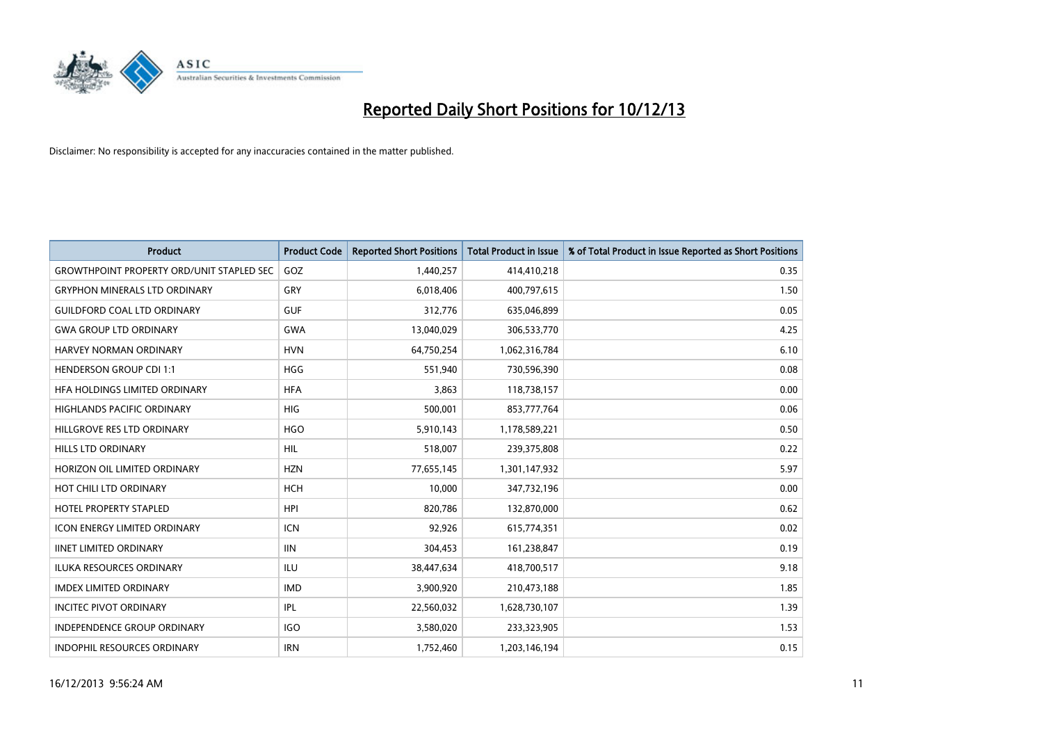

| <b>Product</b>                                   | <b>Product Code</b> | <b>Reported Short Positions</b> | <b>Total Product in Issue</b> | % of Total Product in Issue Reported as Short Positions |
|--------------------------------------------------|---------------------|---------------------------------|-------------------------------|---------------------------------------------------------|
| <b>GROWTHPOINT PROPERTY ORD/UNIT STAPLED SEC</b> | GOZ                 | 1,440,257                       | 414,410,218                   | 0.35                                                    |
| <b>GRYPHON MINERALS LTD ORDINARY</b>             | GRY                 | 6,018,406                       | 400,797,615                   | 1.50                                                    |
| <b>GUILDFORD COAL LTD ORDINARY</b>               | <b>GUF</b>          | 312,776                         | 635,046,899                   | 0.05                                                    |
| <b>GWA GROUP LTD ORDINARY</b>                    | <b>GWA</b>          | 13,040,029                      | 306,533,770                   | 4.25                                                    |
| HARVEY NORMAN ORDINARY                           | <b>HVN</b>          | 64,750,254                      | 1,062,316,784                 | 6.10                                                    |
| <b>HENDERSON GROUP CDI 1:1</b>                   | <b>HGG</b>          | 551,940                         | 730,596,390                   | 0.08                                                    |
| HFA HOLDINGS LIMITED ORDINARY                    | <b>HFA</b>          | 3.863                           | 118,738,157                   | 0.00                                                    |
| <b>HIGHLANDS PACIFIC ORDINARY</b>                | <b>HIG</b>          | 500,001                         | 853,777,764                   | 0.06                                                    |
| HILLGROVE RES LTD ORDINARY                       | <b>HGO</b>          | 5,910,143                       | 1,178,589,221                 | 0.50                                                    |
| <b>HILLS LTD ORDINARY</b>                        | <b>HIL</b>          | 518,007                         | 239,375,808                   | 0.22                                                    |
| HORIZON OIL LIMITED ORDINARY                     | <b>HZN</b>          | 77,655,145                      | 1,301,147,932                 | 5.97                                                    |
| HOT CHILI LTD ORDINARY                           | <b>HCH</b>          | 10,000                          | 347,732,196                   | 0.00                                                    |
| <b>HOTEL PROPERTY STAPLED</b>                    | <b>HPI</b>          | 820,786                         | 132,870,000                   | 0.62                                                    |
| <b>ICON ENERGY LIMITED ORDINARY</b>              | <b>ICN</b>          | 92,926                          | 615,774,351                   | 0.02                                                    |
| <b>IINET LIMITED ORDINARY</b>                    | <b>IIN</b>          | 304,453                         | 161,238,847                   | 0.19                                                    |
| <b>ILUKA RESOURCES ORDINARY</b>                  | ILU                 | 38,447,634                      | 418,700,517                   | 9.18                                                    |
| <b>IMDEX LIMITED ORDINARY</b>                    | <b>IMD</b>          | 3,900,920                       | 210,473,188                   | 1.85                                                    |
| <b>INCITEC PIVOT ORDINARY</b>                    | IPL                 | 22,560,032                      | 1,628,730,107                 | 1.39                                                    |
| <b>INDEPENDENCE GROUP ORDINARY</b>               | <b>IGO</b>          | 3,580,020                       | 233,323,905                   | 1.53                                                    |
| <b>INDOPHIL RESOURCES ORDINARY</b>               | <b>IRN</b>          | 1,752,460                       | 1,203,146,194                 | 0.15                                                    |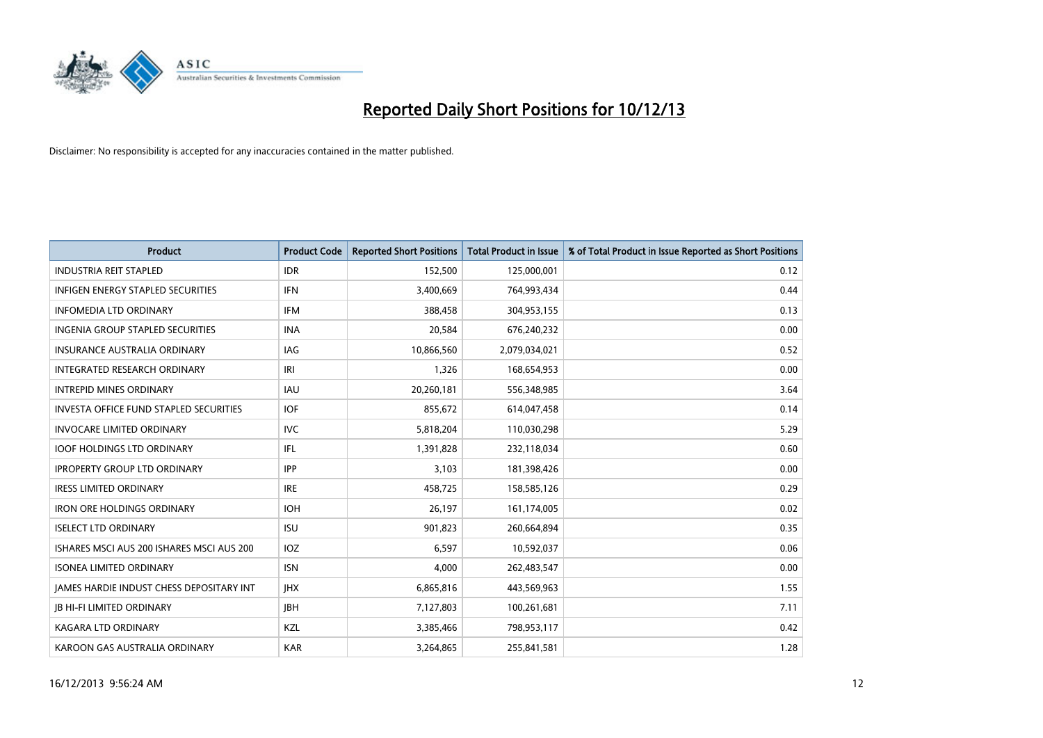

| <b>Product</b>                                | <b>Product Code</b> | <b>Reported Short Positions</b> | <b>Total Product in Issue</b> | % of Total Product in Issue Reported as Short Positions |
|-----------------------------------------------|---------------------|---------------------------------|-------------------------------|---------------------------------------------------------|
| <b>INDUSTRIA REIT STAPLED</b>                 | <b>IDR</b>          | 152,500                         | 125,000,001                   | 0.12                                                    |
| <b>INFIGEN ENERGY STAPLED SECURITIES</b>      | <b>IFN</b>          | 3,400,669                       | 764,993,434                   | 0.44                                                    |
| <b>INFOMEDIA LTD ORDINARY</b>                 | <b>IFM</b>          | 388,458                         | 304,953,155                   | 0.13                                                    |
| INGENIA GROUP STAPLED SECURITIES              | <b>INA</b>          | 20,584                          | 676,240,232                   | 0.00                                                    |
| <b>INSURANCE AUSTRALIA ORDINARY</b>           | <b>IAG</b>          | 10,866,560                      | 2,079,034,021                 | 0.52                                                    |
| INTEGRATED RESEARCH ORDINARY                  | IRI                 | 1,326                           | 168,654,953                   | 0.00                                                    |
| <b>INTREPID MINES ORDINARY</b>                | <b>IAU</b>          | 20,260,181                      | 556,348,985                   | 3.64                                                    |
| <b>INVESTA OFFICE FUND STAPLED SECURITIES</b> | <b>IOF</b>          | 855,672                         | 614,047,458                   | 0.14                                                    |
| <b>INVOCARE LIMITED ORDINARY</b>              | IVC                 | 5,818,204                       | 110,030,298                   | 5.29                                                    |
| <b>IOOF HOLDINGS LTD ORDINARY</b>             | IFL                 | 1,391,828                       | 232,118,034                   | 0.60                                                    |
| <b>IPROPERTY GROUP LTD ORDINARY</b>           | <b>IPP</b>          | 3,103                           | 181,398,426                   | 0.00                                                    |
| <b>IRESS LIMITED ORDINARY</b>                 | <b>IRE</b>          | 458,725                         | 158,585,126                   | 0.29                                                    |
| <b>IRON ORE HOLDINGS ORDINARY</b>             | <b>IOH</b>          | 26.197                          | 161,174,005                   | 0.02                                                    |
| <b>ISELECT LTD ORDINARY</b>                   | <b>ISU</b>          | 901,823                         | 260,664,894                   | 0.35                                                    |
| ISHARES MSCI AUS 200 ISHARES MSCI AUS 200     | IOZ                 | 6,597                           | 10,592,037                    | 0.06                                                    |
| <b>ISONEA LIMITED ORDINARY</b>                | <b>ISN</b>          | 4.000                           | 262,483,547                   | 0.00                                                    |
| JAMES HARDIE INDUST CHESS DEPOSITARY INT      | <b>IHX</b>          | 6,865,816                       | 443,569,963                   | 1.55                                                    |
| <b>JB HI-FI LIMITED ORDINARY</b>              | <b>JBH</b>          | 7,127,803                       | 100,261,681                   | 7.11                                                    |
| KAGARA LTD ORDINARY                           | KZL                 | 3,385,466                       | 798,953,117                   | 0.42                                                    |
| KAROON GAS AUSTRALIA ORDINARY                 | <b>KAR</b>          | 3,264,865                       | 255,841,581                   | 1.28                                                    |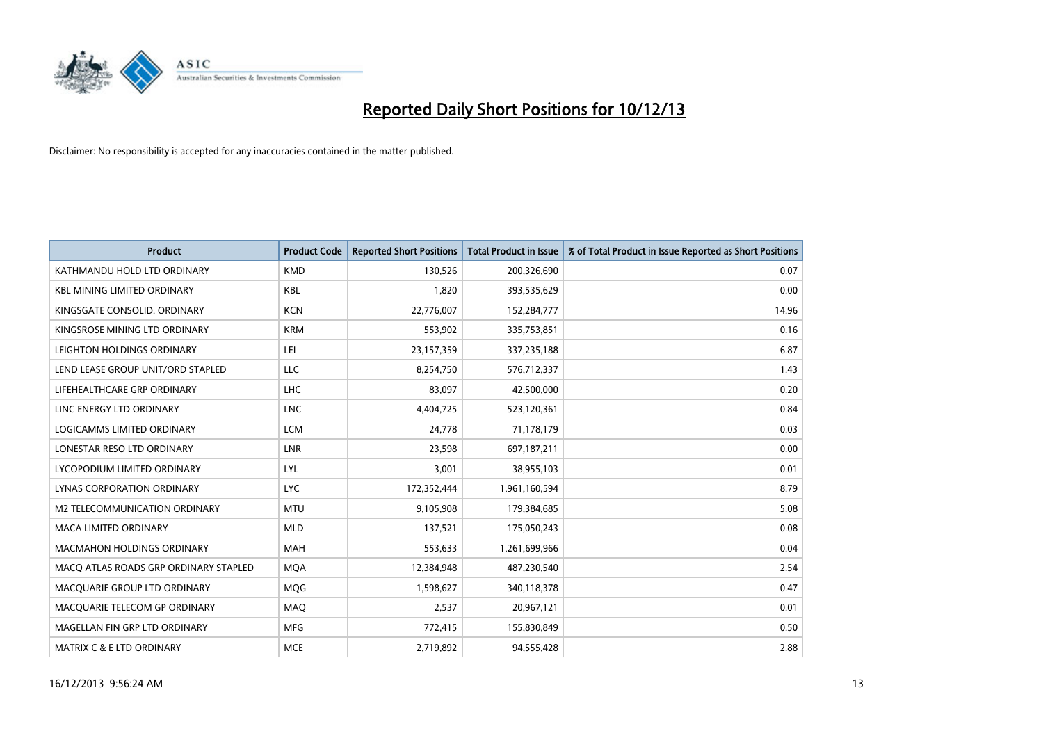

| <b>Product</b>                        | <b>Product Code</b> | <b>Reported Short Positions</b> | <b>Total Product in Issue</b> | % of Total Product in Issue Reported as Short Positions |
|---------------------------------------|---------------------|---------------------------------|-------------------------------|---------------------------------------------------------|
| KATHMANDU HOLD LTD ORDINARY           | <b>KMD</b>          | 130,526                         | 200,326,690                   | 0.07                                                    |
| <b>KBL MINING LIMITED ORDINARY</b>    | <b>KBL</b>          | 1,820                           | 393,535,629                   | 0.00                                                    |
| KINGSGATE CONSOLID. ORDINARY          | <b>KCN</b>          | 22,776,007                      | 152,284,777                   | 14.96                                                   |
| KINGSROSE MINING LTD ORDINARY         | <b>KRM</b>          | 553,902                         | 335,753,851                   | 0.16                                                    |
| LEIGHTON HOLDINGS ORDINARY            | LEI                 | 23,157,359                      | 337,235,188                   | 6.87                                                    |
| LEND LEASE GROUP UNIT/ORD STAPLED     | <b>LLC</b>          | 8,254,750                       | 576,712,337                   | 1.43                                                    |
| LIFEHEALTHCARE GRP ORDINARY           | <b>LHC</b>          | 83,097                          | 42,500,000                    | 0.20                                                    |
| LINC ENERGY LTD ORDINARY              | <b>LNC</b>          | 4,404,725                       | 523,120,361                   | 0.84                                                    |
| LOGICAMMS LIMITED ORDINARY            | <b>LCM</b>          | 24,778                          | 71,178,179                    | 0.03                                                    |
| LONESTAR RESO LTD ORDINARY            | <b>LNR</b>          | 23,598                          | 697,187,211                   | 0.00                                                    |
| LYCOPODIUM LIMITED ORDINARY           | <b>LYL</b>          | 3,001                           | 38,955,103                    | 0.01                                                    |
| <b>LYNAS CORPORATION ORDINARY</b>     | <b>LYC</b>          | 172,352,444                     | 1,961,160,594                 | 8.79                                                    |
| M2 TELECOMMUNICATION ORDINARY         | <b>MTU</b>          | 9,105,908                       | 179,384,685                   | 5.08                                                    |
| <b>MACA LIMITED ORDINARY</b>          | <b>MLD</b>          | 137,521                         | 175,050,243                   | 0.08                                                    |
| <b>MACMAHON HOLDINGS ORDINARY</b>     | <b>MAH</b>          | 553,633                         | 1,261,699,966                 | 0.04                                                    |
| MACO ATLAS ROADS GRP ORDINARY STAPLED | <b>MOA</b>          | 12,384,948                      | 487,230,540                   | 2.54                                                    |
| MACQUARIE GROUP LTD ORDINARY          | MQG                 | 1,598,627                       | 340,118,378                   | 0.47                                                    |
| MACQUARIE TELECOM GP ORDINARY         | MAQ                 | 2,537                           | 20,967,121                    | 0.01                                                    |
| MAGELLAN FIN GRP LTD ORDINARY         | <b>MFG</b>          | 772,415                         | 155,830,849                   | 0.50                                                    |
| <b>MATRIX C &amp; E LTD ORDINARY</b>  | <b>MCE</b>          | 2,719,892                       | 94,555,428                    | 2.88                                                    |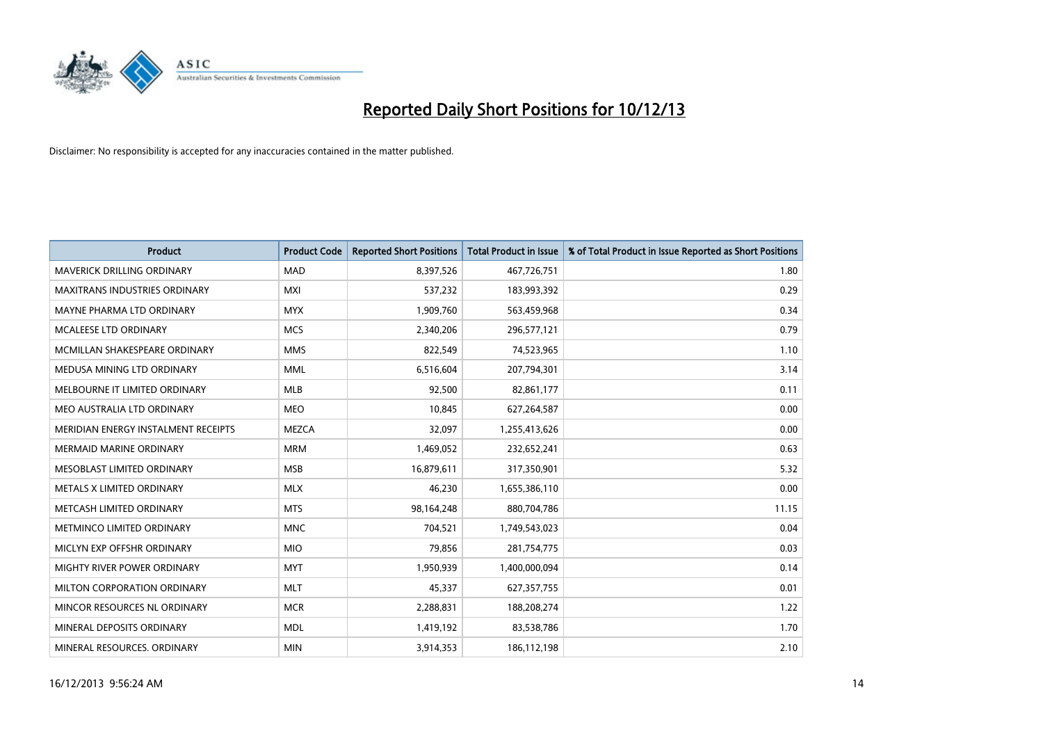

| <b>Product</b>                       | <b>Product Code</b> | <b>Reported Short Positions</b> | <b>Total Product in Issue</b> | % of Total Product in Issue Reported as Short Positions |
|--------------------------------------|---------------------|---------------------------------|-------------------------------|---------------------------------------------------------|
| <b>MAVERICK DRILLING ORDINARY</b>    | <b>MAD</b>          | 8,397,526                       | 467,726,751                   | 1.80                                                    |
| <b>MAXITRANS INDUSTRIES ORDINARY</b> | <b>MXI</b>          | 537,232                         | 183,993,392                   | 0.29                                                    |
| MAYNE PHARMA LTD ORDINARY            | <b>MYX</b>          | 1,909,760                       | 563,459,968                   | 0.34                                                    |
| MCALEESE LTD ORDINARY                | <b>MCS</b>          | 2,340,206                       | 296,577,121                   | 0.79                                                    |
| MCMILLAN SHAKESPEARE ORDINARY        | <b>MMS</b>          | 822,549                         | 74,523,965                    | 1.10                                                    |
| MEDUSA MINING LTD ORDINARY           | <b>MML</b>          | 6,516,604                       | 207,794,301                   | 3.14                                                    |
| MELBOURNE IT LIMITED ORDINARY        | <b>MLB</b>          | 92,500                          | 82,861,177                    | 0.11                                                    |
| MEO AUSTRALIA LTD ORDINARY           | <b>MEO</b>          | 10,845                          | 627,264,587                   | 0.00                                                    |
| MERIDIAN ENERGY INSTALMENT RECEIPTS  | <b>MEZCA</b>        | 32,097                          | 1,255,413,626                 | 0.00                                                    |
| <b>MERMAID MARINE ORDINARY</b>       | <b>MRM</b>          | 1,469,052                       | 232,652,241                   | 0.63                                                    |
| MESOBLAST LIMITED ORDINARY           | <b>MSB</b>          | 16,879,611                      | 317,350,901                   | 5.32                                                    |
| METALS X LIMITED ORDINARY            | <b>MLX</b>          | 46,230                          | 1,655,386,110                 | 0.00                                                    |
| METCASH LIMITED ORDINARY             | <b>MTS</b>          | 98,164,248                      | 880,704,786                   | 11.15                                                   |
| METMINCO LIMITED ORDINARY            | <b>MNC</b>          | 704,521                         | 1,749,543,023                 | 0.04                                                    |
| MICLYN EXP OFFSHR ORDINARY           | <b>MIO</b>          | 79,856                          | 281,754,775                   | 0.03                                                    |
| MIGHTY RIVER POWER ORDINARY          | <b>MYT</b>          | 1,950,939                       | 1,400,000,094                 | 0.14                                                    |
| MILTON CORPORATION ORDINARY          | <b>MLT</b>          | 45,337                          | 627,357,755                   | 0.01                                                    |
| MINCOR RESOURCES NL ORDINARY         | <b>MCR</b>          | 2,288,831                       | 188,208,274                   | 1.22                                                    |
| MINERAL DEPOSITS ORDINARY            | <b>MDL</b>          | 1,419,192                       | 83,538,786                    | 1.70                                                    |
| MINERAL RESOURCES. ORDINARY          | <b>MIN</b>          | 3,914,353                       | 186,112,198                   | 2.10                                                    |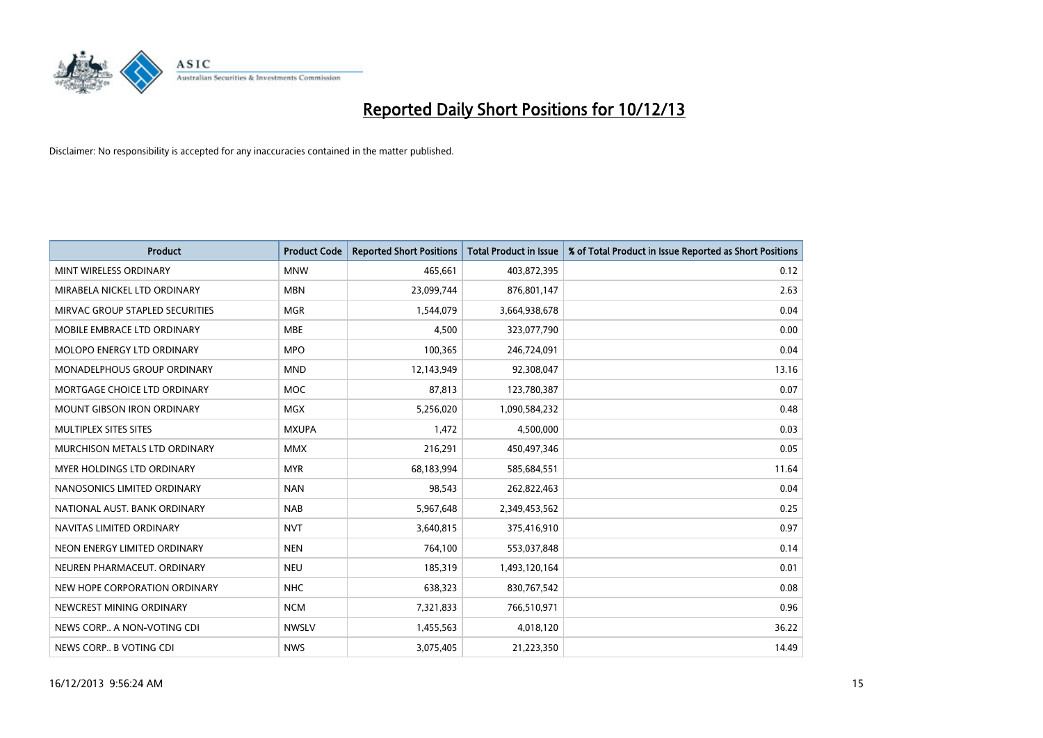

| <b>Product</b>                    | <b>Product Code</b> | <b>Reported Short Positions</b> | <b>Total Product in Issue</b> | % of Total Product in Issue Reported as Short Positions |
|-----------------------------------|---------------------|---------------------------------|-------------------------------|---------------------------------------------------------|
| MINT WIRELESS ORDINARY            | <b>MNW</b>          | 465,661                         | 403,872,395                   | 0.12                                                    |
| MIRABELA NICKEL LTD ORDINARY      | <b>MBN</b>          | 23,099,744                      | 876,801,147                   | 2.63                                                    |
| MIRVAC GROUP STAPLED SECURITIES   | <b>MGR</b>          | 1,544,079                       | 3,664,938,678                 | 0.04                                                    |
| MOBILE EMBRACE LTD ORDINARY       | <b>MBE</b>          | 4,500                           | 323,077,790                   | 0.00                                                    |
| MOLOPO ENERGY LTD ORDINARY        | <b>MPO</b>          | 100,365                         | 246,724,091                   | 0.04                                                    |
| MONADELPHOUS GROUP ORDINARY       | <b>MND</b>          | 12,143,949                      | 92,308,047                    | 13.16                                                   |
| MORTGAGE CHOICE LTD ORDINARY      | MOC                 | 87,813                          | 123,780,387                   | 0.07                                                    |
| <b>MOUNT GIBSON IRON ORDINARY</b> | <b>MGX</b>          | 5,256,020                       | 1,090,584,232                 | 0.48                                                    |
| MULTIPLEX SITES SITES             | <b>MXUPA</b>        | 1,472                           | 4,500,000                     | 0.03                                                    |
| MURCHISON METALS LTD ORDINARY     | <b>MMX</b>          | 216,291                         | 450,497,346                   | 0.05                                                    |
| MYER HOLDINGS LTD ORDINARY        | <b>MYR</b>          | 68,183,994                      | 585,684,551                   | 11.64                                                   |
| NANOSONICS LIMITED ORDINARY       | <b>NAN</b>          | 98,543                          | 262,822,463                   | 0.04                                                    |
| NATIONAL AUST. BANK ORDINARY      | <b>NAB</b>          | 5,967,648                       | 2,349,453,562                 | 0.25                                                    |
| NAVITAS LIMITED ORDINARY          | <b>NVT</b>          | 3,640,815                       | 375,416,910                   | 0.97                                                    |
| NEON ENERGY LIMITED ORDINARY      | <b>NEN</b>          | 764,100                         | 553,037,848                   | 0.14                                                    |
| NEUREN PHARMACEUT, ORDINARY       | <b>NEU</b>          | 185,319                         | 1,493,120,164                 | 0.01                                                    |
| NEW HOPE CORPORATION ORDINARY     | <b>NHC</b>          | 638,323                         | 830,767,542                   | 0.08                                                    |
| NEWCREST MINING ORDINARY          | <b>NCM</b>          | 7,321,833                       | 766,510,971                   | 0.96                                                    |
| NEWS CORP A NON-VOTING CDI        | <b>NWSLV</b>        | 1,455,563                       | 4,018,120                     | 36.22                                                   |
| NEWS CORP B VOTING CDI            | <b>NWS</b>          | 3,075,405                       | 21,223,350                    | 14.49                                                   |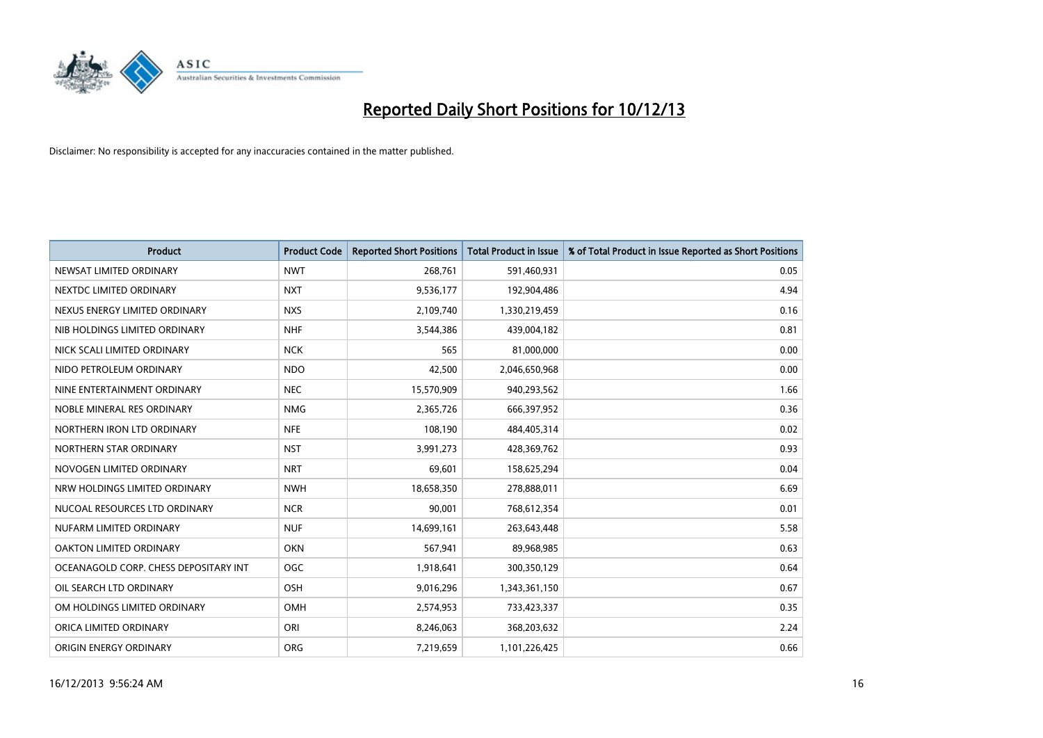

| <b>Product</b>                        | <b>Product Code</b> | <b>Reported Short Positions</b> | <b>Total Product in Issue</b> | % of Total Product in Issue Reported as Short Positions |
|---------------------------------------|---------------------|---------------------------------|-------------------------------|---------------------------------------------------------|
| NEWSAT LIMITED ORDINARY               | <b>NWT</b>          | 268,761                         | 591,460,931                   | 0.05                                                    |
| NEXTDC LIMITED ORDINARY               | <b>NXT</b>          | 9,536,177                       | 192,904,486                   | 4.94                                                    |
| NEXUS ENERGY LIMITED ORDINARY         | <b>NXS</b>          | 2,109,740                       | 1,330,219,459                 | 0.16                                                    |
| NIB HOLDINGS LIMITED ORDINARY         | <b>NHF</b>          | 3,544,386                       | 439,004,182                   | 0.81                                                    |
| NICK SCALI LIMITED ORDINARY           | <b>NCK</b>          | 565                             | 81,000,000                    | 0.00                                                    |
| NIDO PETROLEUM ORDINARY               | <b>NDO</b>          | 42,500                          | 2,046,650,968                 | 0.00                                                    |
| NINE ENTERTAINMENT ORDINARY           | <b>NEC</b>          | 15,570,909                      | 940,293,562                   | 1.66                                                    |
| NOBLE MINERAL RES ORDINARY            | <b>NMG</b>          | 2,365,726                       | 666,397,952                   | 0.36                                                    |
| NORTHERN IRON LTD ORDINARY            | <b>NFE</b>          | 108,190                         | 484,405,314                   | 0.02                                                    |
| NORTHERN STAR ORDINARY                | <b>NST</b>          | 3,991,273                       | 428,369,762                   | 0.93                                                    |
| NOVOGEN LIMITED ORDINARY              | <b>NRT</b>          | 69,601                          | 158,625,294                   | 0.04                                                    |
| NRW HOLDINGS LIMITED ORDINARY         | <b>NWH</b>          | 18,658,350                      | 278,888,011                   | 6.69                                                    |
| NUCOAL RESOURCES LTD ORDINARY         | <b>NCR</b>          | 90,001                          | 768,612,354                   | 0.01                                                    |
| NUFARM LIMITED ORDINARY               | <b>NUF</b>          | 14,699,161                      | 263,643,448                   | 5.58                                                    |
| <b>OAKTON LIMITED ORDINARY</b>        | <b>OKN</b>          | 567,941                         | 89,968,985                    | 0.63                                                    |
| OCEANAGOLD CORP. CHESS DEPOSITARY INT | <b>OGC</b>          | 1,918,641                       | 300,350,129                   | 0.64                                                    |
| OIL SEARCH LTD ORDINARY               | OSH                 | 9,016,296                       | 1,343,361,150                 | 0.67                                                    |
| OM HOLDINGS LIMITED ORDINARY          | OMH                 | 2,574,953                       | 733,423,337                   | 0.35                                                    |
| ORICA LIMITED ORDINARY                | ORI                 | 8,246,063                       | 368,203,632                   | 2.24                                                    |
| ORIGIN ENERGY ORDINARY                | <b>ORG</b>          | 7,219,659                       | 1,101,226,425                 | 0.66                                                    |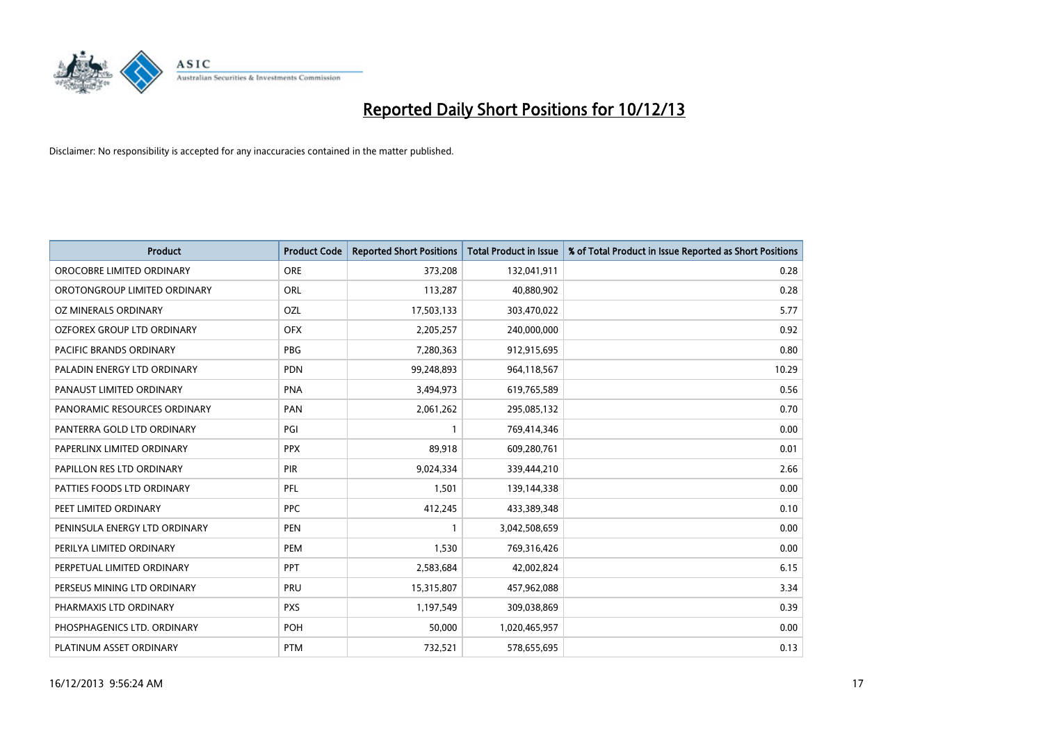

| <b>Product</b>                 | <b>Product Code</b> | <b>Reported Short Positions</b> | <b>Total Product in Issue</b> | % of Total Product in Issue Reported as Short Positions |
|--------------------------------|---------------------|---------------------------------|-------------------------------|---------------------------------------------------------|
| OROCOBRE LIMITED ORDINARY      | <b>ORE</b>          | 373,208                         | 132,041,911                   | 0.28                                                    |
| OROTONGROUP LIMITED ORDINARY   | <b>ORL</b>          | 113,287                         | 40,880,902                    | 0.28                                                    |
| OZ MINERALS ORDINARY           | OZL                 | 17,503,133                      | 303,470,022                   | 5.77                                                    |
| OZFOREX GROUP LTD ORDINARY     | <b>OFX</b>          | 2,205,257                       | 240,000,000                   | 0.92                                                    |
| <b>PACIFIC BRANDS ORDINARY</b> | <b>PBG</b>          | 7,280,363                       | 912,915,695                   | 0.80                                                    |
| PALADIN ENERGY LTD ORDINARY    | <b>PDN</b>          | 99,248,893                      | 964,118,567                   | 10.29                                                   |
| PANAUST LIMITED ORDINARY       | <b>PNA</b>          | 3,494,973                       | 619,765,589                   | 0.56                                                    |
| PANORAMIC RESOURCES ORDINARY   | PAN                 | 2,061,262                       | 295,085,132                   | 0.70                                                    |
| PANTERRA GOLD LTD ORDINARY     | PGI                 | 1                               | 769,414,346                   | 0.00                                                    |
| PAPERLINX LIMITED ORDINARY     | <b>PPX</b>          | 89,918                          | 609,280,761                   | 0.01                                                    |
| PAPILLON RES LTD ORDINARY      | PIR                 | 9,024,334                       | 339,444,210                   | 2.66                                                    |
| PATTIES FOODS LTD ORDINARY     | <b>PFL</b>          | 1,501                           | 139,144,338                   | 0.00                                                    |
| PEET LIMITED ORDINARY          | <b>PPC</b>          | 412,245                         | 433,389,348                   | 0.10                                                    |
| PENINSULA ENERGY LTD ORDINARY  | <b>PEN</b>          | 1                               | 3,042,508,659                 | 0.00                                                    |
| PERILYA LIMITED ORDINARY       | PEM                 | 1,530                           | 769,316,426                   | 0.00                                                    |
| PERPETUAL LIMITED ORDINARY     | <b>PPT</b>          | 2,583,684                       | 42,002,824                    | 6.15                                                    |
| PERSEUS MINING LTD ORDINARY    | PRU                 | 15,315,807                      | 457,962,088                   | 3.34                                                    |
| PHARMAXIS LTD ORDINARY         | <b>PXS</b>          | 1,197,549                       | 309,038,869                   | 0.39                                                    |
| PHOSPHAGENICS LTD. ORDINARY    | POH                 | 50,000                          | 1,020,465,957                 | 0.00                                                    |
| PLATINUM ASSET ORDINARY        | <b>PTM</b>          | 732,521                         | 578,655,695                   | 0.13                                                    |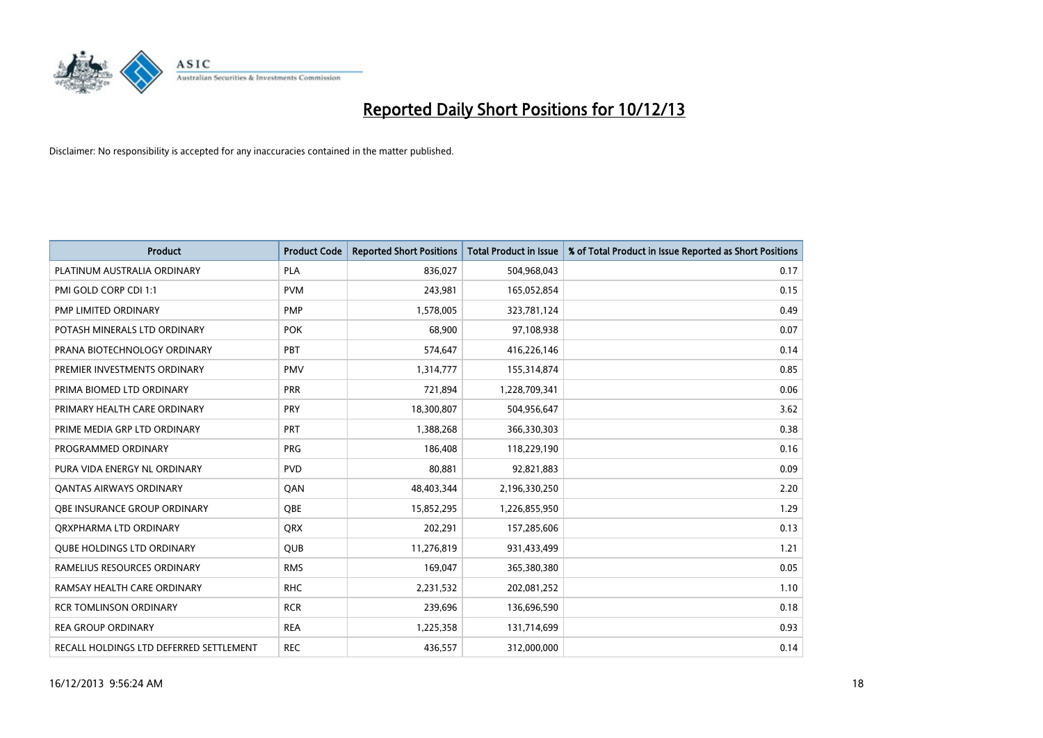

| Product                                 | <b>Product Code</b> | <b>Reported Short Positions</b> | <b>Total Product in Issue</b> | % of Total Product in Issue Reported as Short Positions |
|-----------------------------------------|---------------------|---------------------------------|-------------------------------|---------------------------------------------------------|
| PLATINUM AUSTRALIA ORDINARY             | <b>PLA</b>          | 836.027                         | 504,968,043                   | 0.17                                                    |
| PMI GOLD CORP CDI 1:1                   | <b>PVM</b>          | 243,981                         | 165,052,854                   | 0.15                                                    |
| PMP LIMITED ORDINARY                    | <b>PMP</b>          | 1,578,005                       | 323,781,124                   | 0.49                                                    |
| POTASH MINERALS LTD ORDINARY            | <b>POK</b>          | 68,900                          | 97,108,938                    | 0.07                                                    |
| PRANA BIOTECHNOLOGY ORDINARY            | PBT                 | 574,647                         | 416,226,146                   | 0.14                                                    |
| PREMIER INVESTMENTS ORDINARY            | <b>PMV</b>          | 1,314,777                       | 155,314,874                   | 0.85                                                    |
| PRIMA BIOMED LTD ORDINARY               | <b>PRR</b>          | 721,894                         | 1,228,709,341                 | 0.06                                                    |
| PRIMARY HEALTH CARE ORDINARY            | PRY                 | 18,300,807                      | 504,956,647                   | 3.62                                                    |
| PRIME MEDIA GRP LTD ORDINARY            | PRT                 | 1,388,268                       | 366,330,303                   | 0.38                                                    |
| PROGRAMMED ORDINARY                     | <b>PRG</b>          | 186,408                         | 118,229,190                   | 0.16                                                    |
| PURA VIDA ENERGY NL ORDINARY            | <b>PVD</b>          | 80,881                          | 92,821,883                    | 0.09                                                    |
| <b>QANTAS AIRWAYS ORDINARY</b>          | QAN                 | 48,403,344                      | 2,196,330,250                 | 2.20                                                    |
| OBE INSURANCE GROUP ORDINARY            | <b>OBE</b>          | 15,852,295                      | 1,226,855,950                 | 1.29                                                    |
| ORXPHARMA LTD ORDINARY                  | <b>QRX</b>          | 202,291                         | 157,285,606                   | 0.13                                                    |
| <b>OUBE HOLDINGS LTD ORDINARY</b>       | <b>QUB</b>          | 11,276,819                      | 931,433,499                   | 1.21                                                    |
| RAMELIUS RESOURCES ORDINARY             | <b>RMS</b>          | 169,047                         | 365,380,380                   | 0.05                                                    |
| RAMSAY HEALTH CARE ORDINARY             | <b>RHC</b>          | 2,231,532                       | 202,081,252                   | 1.10                                                    |
| <b>RCR TOMLINSON ORDINARY</b>           | <b>RCR</b>          | 239,696                         | 136,696,590                   | 0.18                                                    |
| <b>REA GROUP ORDINARY</b>               | <b>REA</b>          | 1,225,358                       | 131,714,699                   | 0.93                                                    |
| RECALL HOLDINGS LTD DEFERRED SETTLEMENT | <b>REC</b>          | 436,557                         | 312,000,000                   | 0.14                                                    |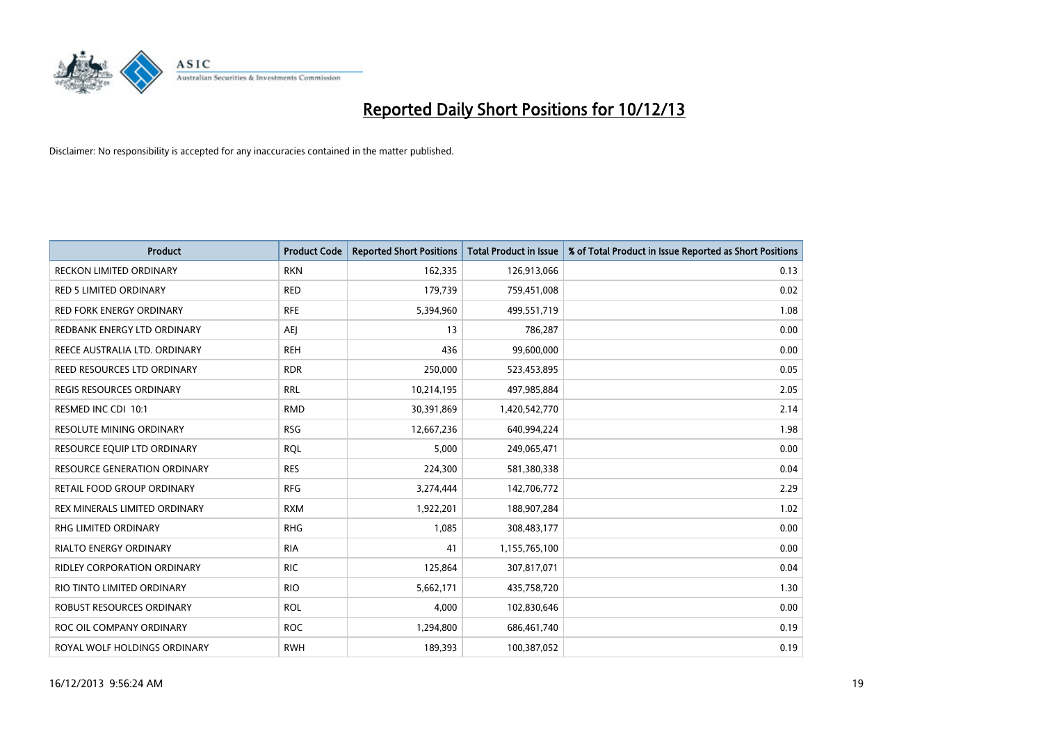

| <b>Product</b>                      | <b>Product Code</b> | <b>Reported Short Positions</b> | <b>Total Product in Issue</b> | % of Total Product in Issue Reported as Short Positions |
|-------------------------------------|---------------------|---------------------------------|-------------------------------|---------------------------------------------------------|
| <b>RECKON LIMITED ORDINARY</b>      | <b>RKN</b>          | 162,335                         | 126,913,066                   | 0.13                                                    |
| <b>RED 5 LIMITED ORDINARY</b>       | <b>RED</b>          | 179,739                         | 759,451,008                   | 0.02                                                    |
| <b>RED FORK ENERGY ORDINARY</b>     | <b>RFE</b>          | 5,394,960                       | 499,551,719                   | 1.08                                                    |
| REDBANK ENERGY LTD ORDINARY         | AEJ                 | 13                              | 786,287                       | 0.00                                                    |
| REECE AUSTRALIA LTD. ORDINARY       | <b>REH</b>          | 436                             | 99,600,000                    | 0.00                                                    |
| REED RESOURCES LTD ORDINARY         | <b>RDR</b>          | 250,000                         | 523,453,895                   | 0.05                                                    |
| REGIS RESOURCES ORDINARY            | <b>RRL</b>          | 10,214,195                      | 497,985,884                   | 2.05                                                    |
| RESMED INC CDI 10:1                 | <b>RMD</b>          | 30,391,869                      | 1,420,542,770                 | 2.14                                                    |
| <b>RESOLUTE MINING ORDINARY</b>     | <b>RSG</b>          | 12,667,236                      | 640,994,224                   | 1.98                                                    |
| RESOURCE EQUIP LTD ORDINARY         | <b>ROL</b>          | 5,000                           | 249,065,471                   | 0.00                                                    |
| <b>RESOURCE GENERATION ORDINARY</b> | <b>RES</b>          | 224,300                         | 581,380,338                   | 0.04                                                    |
| RETAIL FOOD GROUP ORDINARY          | <b>RFG</b>          | 3,274,444                       | 142,706,772                   | 2.29                                                    |
| REX MINERALS LIMITED ORDINARY       | <b>RXM</b>          | 1,922,201                       | 188,907,284                   | 1.02                                                    |
| <b>RHG LIMITED ORDINARY</b>         | <b>RHG</b>          | 1,085                           | 308,483,177                   | 0.00                                                    |
| <b>RIALTO ENERGY ORDINARY</b>       | <b>RIA</b>          | 41                              | 1,155,765,100                 | 0.00                                                    |
| RIDLEY CORPORATION ORDINARY         | <b>RIC</b>          | 125,864                         | 307,817,071                   | 0.04                                                    |
| RIO TINTO LIMITED ORDINARY          | <b>RIO</b>          | 5,662,171                       | 435,758,720                   | 1.30                                                    |
| ROBUST RESOURCES ORDINARY           | <b>ROL</b>          | 4,000                           | 102,830,646                   | 0.00                                                    |
| ROC OIL COMPANY ORDINARY            | <b>ROC</b>          | 1,294,800                       | 686,461,740                   | 0.19                                                    |
| ROYAL WOLF HOLDINGS ORDINARY        | <b>RWH</b>          | 189,393                         | 100,387,052                   | 0.19                                                    |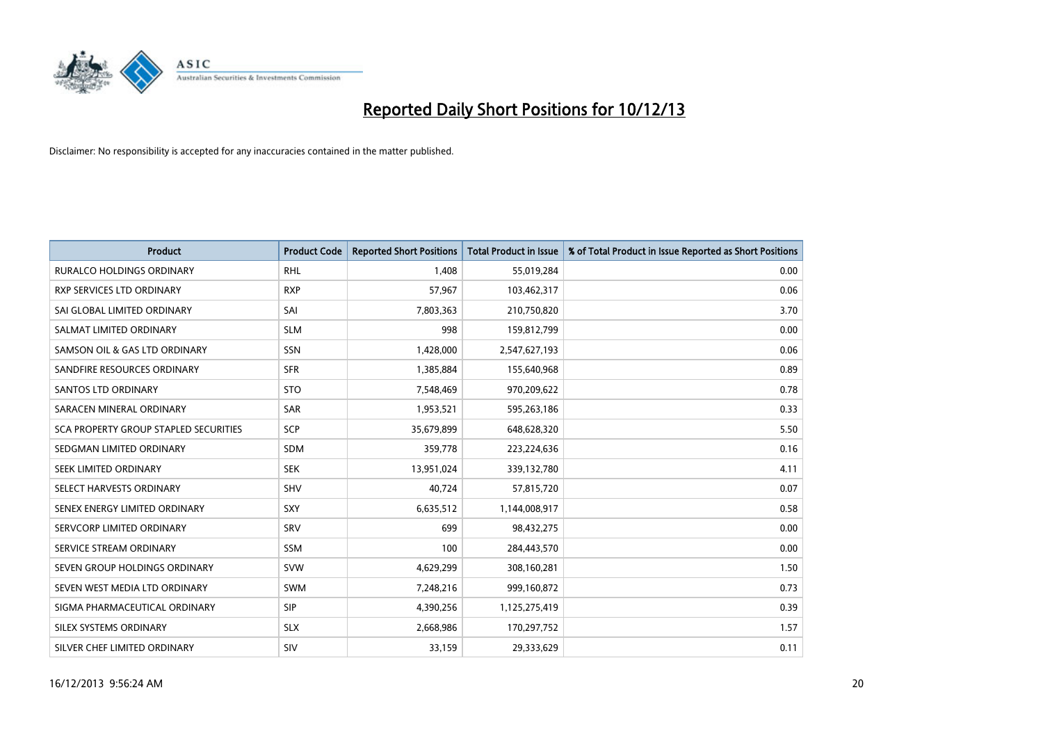

| <b>Product</b>                        | <b>Product Code</b> | <b>Reported Short Positions</b> | <b>Total Product in Issue</b> | % of Total Product in Issue Reported as Short Positions |
|---------------------------------------|---------------------|---------------------------------|-------------------------------|---------------------------------------------------------|
| <b>RURALCO HOLDINGS ORDINARY</b>      | <b>RHL</b>          | 1,408                           | 55,019,284                    | 0.00                                                    |
| RXP SERVICES LTD ORDINARY             | <b>RXP</b>          | 57,967                          | 103,462,317                   | 0.06                                                    |
| SAI GLOBAL LIMITED ORDINARY           | SAI                 | 7,803,363                       | 210,750,820                   | 3.70                                                    |
| SALMAT LIMITED ORDINARY               | <b>SLM</b>          | 998                             | 159,812,799                   | 0.00                                                    |
| SAMSON OIL & GAS LTD ORDINARY         | SSN                 | 1,428,000                       | 2,547,627,193                 | 0.06                                                    |
| SANDFIRE RESOURCES ORDINARY           | <b>SFR</b>          | 1,385,884                       | 155,640,968                   | 0.89                                                    |
| SANTOS LTD ORDINARY                   | <b>STO</b>          | 7,548,469                       | 970,209,622                   | 0.78                                                    |
| SARACEN MINERAL ORDINARY              | SAR                 | 1,953,521                       | 595,263,186                   | 0.33                                                    |
| SCA PROPERTY GROUP STAPLED SECURITIES | <b>SCP</b>          | 35,679,899                      | 648,628,320                   | 5.50                                                    |
| SEDGMAN LIMITED ORDINARY              | <b>SDM</b>          | 359,778                         | 223,224,636                   | 0.16                                                    |
| SEEK LIMITED ORDINARY                 | <b>SEK</b>          | 13,951,024                      | 339,132,780                   | 4.11                                                    |
| SELECT HARVESTS ORDINARY              | SHV                 | 40,724                          | 57,815,720                    | 0.07                                                    |
| SENEX ENERGY LIMITED ORDINARY         | <b>SXY</b>          | 6,635,512                       | 1,144,008,917                 | 0.58                                                    |
| SERVCORP LIMITED ORDINARY             | SRV                 | 699                             | 98,432,275                    | 0.00                                                    |
| SERVICE STREAM ORDINARY               | <b>SSM</b>          | 100                             | 284,443,570                   | 0.00                                                    |
| SEVEN GROUP HOLDINGS ORDINARY         | <b>SVW</b>          | 4,629,299                       | 308,160,281                   | 1.50                                                    |
| SEVEN WEST MEDIA LTD ORDINARY         | SWM                 | 7,248,216                       | 999,160,872                   | 0.73                                                    |
| SIGMA PHARMACEUTICAL ORDINARY         | <b>SIP</b>          | 4,390,256                       | 1,125,275,419                 | 0.39                                                    |
| SILEX SYSTEMS ORDINARY                | <b>SLX</b>          | 2,668,986                       | 170,297,752                   | 1.57                                                    |
| SILVER CHEF LIMITED ORDINARY          | SIV                 | 33,159                          | 29,333,629                    | 0.11                                                    |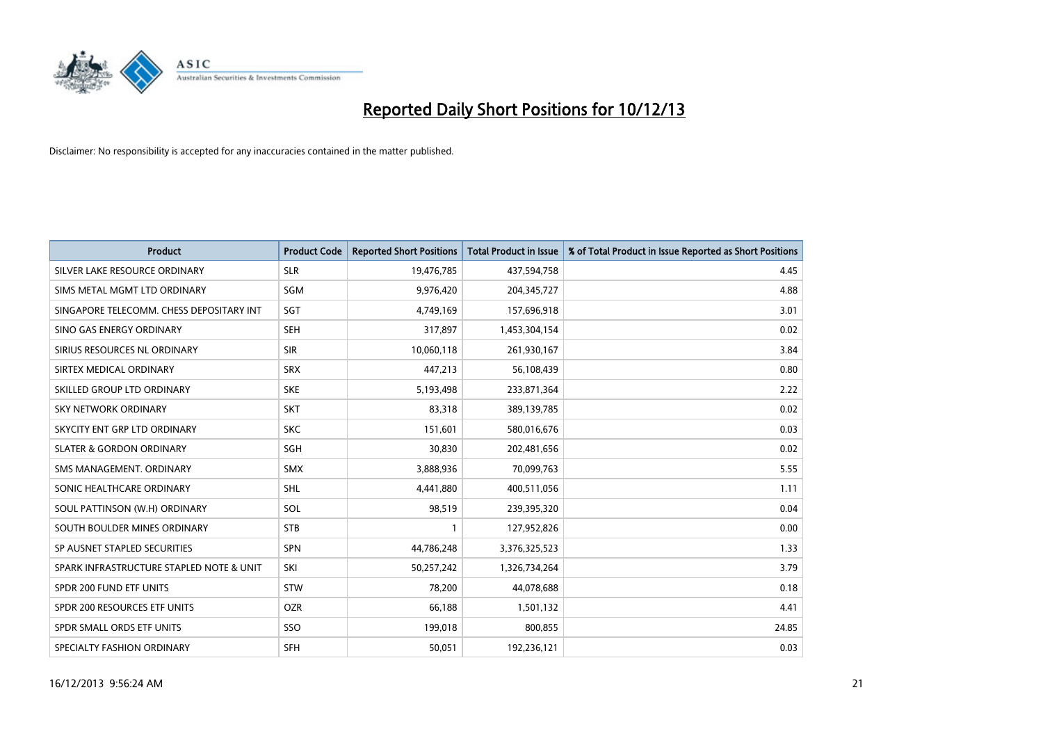

| <b>Product</b>                           | <b>Product Code</b> | <b>Reported Short Positions</b> | <b>Total Product in Issue</b> | % of Total Product in Issue Reported as Short Positions |
|------------------------------------------|---------------------|---------------------------------|-------------------------------|---------------------------------------------------------|
| SILVER LAKE RESOURCE ORDINARY            | <b>SLR</b>          | 19,476,785                      | 437,594,758                   | 4.45                                                    |
| SIMS METAL MGMT LTD ORDINARY             | SGM                 | 9,976,420                       | 204,345,727                   | 4.88                                                    |
| SINGAPORE TELECOMM. CHESS DEPOSITARY INT | SGT                 | 4,749,169                       | 157,696,918                   | 3.01                                                    |
| SINO GAS ENERGY ORDINARY                 | <b>SEH</b>          | 317,897                         | 1,453,304,154                 | 0.02                                                    |
| SIRIUS RESOURCES NL ORDINARY             | <b>SIR</b>          | 10,060,118                      | 261,930,167                   | 3.84                                                    |
| SIRTEX MEDICAL ORDINARY                  | <b>SRX</b>          | 447,213                         | 56,108,439                    | 0.80                                                    |
| SKILLED GROUP LTD ORDINARY               | <b>SKE</b>          | 5,193,498                       | 233,871,364                   | 2.22                                                    |
| SKY NETWORK ORDINARY                     | <b>SKT</b>          | 83,318                          | 389,139,785                   | 0.02                                                    |
| SKYCITY ENT GRP LTD ORDINARY             | <b>SKC</b>          | 151,601                         | 580,016,676                   | 0.03                                                    |
| <b>SLATER &amp; GORDON ORDINARY</b>      | SGH                 | 30,830                          | 202,481,656                   | 0.02                                                    |
| SMS MANAGEMENT. ORDINARY                 | SMX                 | 3,888,936                       | 70,099,763                    | 5.55                                                    |
| SONIC HEALTHCARE ORDINARY                | SHL                 | 4,441,880                       | 400,511,056                   | 1.11                                                    |
| SOUL PATTINSON (W.H) ORDINARY            | SOL                 | 98,519                          | 239,395,320                   | 0.04                                                    |
| SOUTH BOULDER MINES ORDINARY             | <b>STB</b>          | $\mathbf{1}$                    | 127,952,826                   | 0.00                                                    |
| SP AUSNET STAPLED SECURITIES             | <b>SPN</b>          | 44,786,248                      | 3,376,325,523                 | 1.33                                                    |
| SPARK INFRASTRUCTURE STAPLED NOTE & UNIT | SKI                 | 50,257,242                      | 1,326,734,264                 | 3.79                                                    |
| SPDR 200 FUND ETF UNITS                  | <b>STW</b>          | 78,200                          | 44,078,688                    | 0.18                                                    |
| SPDR 200 RESOURCES ETF UNITS             | <b>OZR</b>          | 66,188                          | 1,501,132                     | 4.41                                                    |
| SPDR SMALL ORDS ETF UNITS                | SSO                 | 199,018                         | 800,855                       | 24.85                                                   |
| SPECIALTY FASHION ORDINARY               | <b>SFH</b>          | 50,051                          | 192,236,121                   | 0.03                                                    |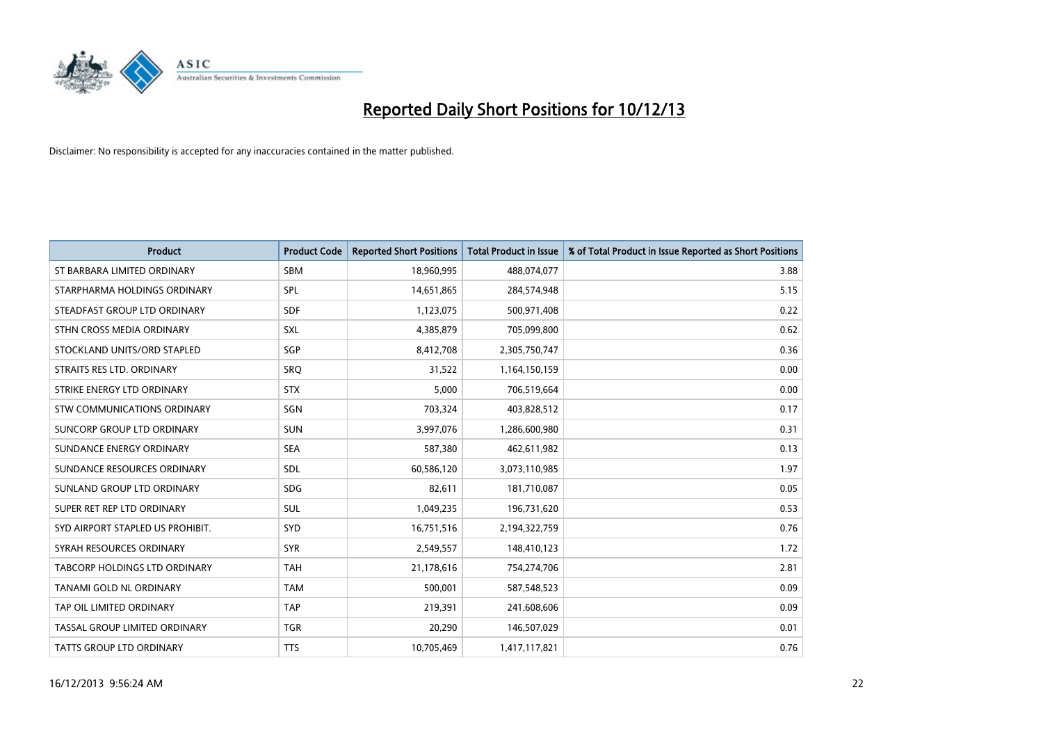

| <b>Product</b>                   | <b>Product Code</b> | <b>Reported Short Positions</b> | <b>Total Product in Issue</b> | % of Total Product in Issue Reported as Short Positions |
|----------------------------------|---------------------|---------------------------------|-------------------------------|---------------------------------------------------------|
| ST BARBARA LIMITED ORDINARY      | <b>SBM</b>          | 18,960,995                      | 488,074,077                   | 3.88                                                    |
| STARPHARMA HOLDINGS ORDINARY     | SPL                 | 14,651,865                      | 284,574,948                   | 5.15                                                    |
| STEADFAST GROUP LTD ORDINARY     | <b>SDF</b>          | 1,123,075                       | 500,971,408                   | 0.22                                                    |
| STHN CROSS MEDIA ORDINARY        | <b>SXL</b>          | 4,385,879                       | 705,099,800                   | 0.62                                                    |
| STOCKLAND UNITS/ORD STAPLED      | SGP                 | 8,412,708                       | 2,305,750,747                 | 0.36                                                    |
| STRAITS RES LTD. ORDINARY        | <b>SRQ</b>          | 31,522                          | 1,164,150,159                 | 0.00                                                    |
| STRIKE ENERGY LTD ORDINARY       | <b>STX</b>          | 5,000                           | 706,519,664                   | 0.00                                                    |
| STW COMMUNICATIONS ORDINARY      | SGN                 | 703,324                         | 403,828,512                   | 0.17                                                    |
| SUNCORP GROUP LTD ORDINARY       | <b>SUN</b>          | 3,997,076                       | 1,286,600,980                 | 0.31                                                    |
| SUNDANCE ENERGY ORDINARY         | <b>SEA</b>          | 587,380                         | 462,611,982                   | 0.13                                                    |
| SUNDANCE RESOURCES ORDINARY      | SDL                 | 60,586,120                      | 3,073,110,985                 | 1.97                                                    |
| SUNLAND GROUP LTD ORDINARY       | <b>SDG</b>          | 82,611                          | 181,710,087                   | 0.05                                                    |
| SUPER RET REP LTD ORDINARY       | SUL                 | 1,049,235                       | 196,731,620                   | 0.53                                                    |
| SYD AIRPORT STAPLED US PROHIBIT. | <b>SYD</b>          | 16,751,516                      | 2,194,322,759                 | 0.76                                                    |
| SYRAH RESOURCES ORDINARY         | <b>SYR</b>          | 2,549,557                       | 148,410,123                   | 1.72                                                    |
| TABCORP HOLDINGS LTD ORDINARY    | <b>TAH</b>          | 21,178,616                      | 754,274,706                   | 2.81                                                    |
| TANAMI GOLD NL ORDINARY          | <b>TAM</b>          | 500,001                         | 587,548,523                   | 0.09                                                    |
| TAP OIL LIMITED ORDINARY         | <b>TAP</b>          | 219,391                         | 241,608,606                   | 0.09                                                    |
| TASSAL GROUP LIMITED ORDINARY    | <b>TGR</b>          | 20,290                          | 146,507,029                   | 0.01                                                    |
| TATTS GROUP LTD ORDINARY         | <b>TTS</b>          | 10,705,469                      | 1,417,117,821                 | 0.76                                                    |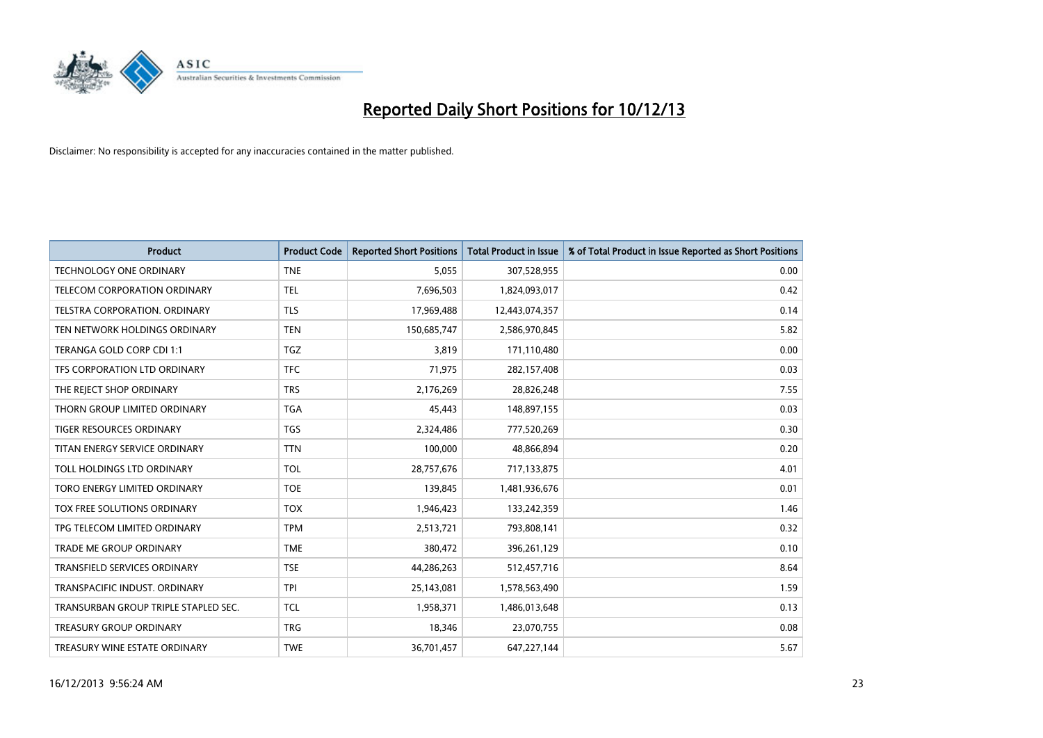

| <b>Product</b>                       | <b>Product Code</b> | <b>Reported Short Positions</b> | <b>Total Product in Issue</b> | % of Total Product in Issue Reported as Short Positions |
|--------------------------------------|---------------------|---------------------------------|-------------------------------|---------------------------------------------------------|
| <b>TECHNOLOGY ONE ORDINARY</b>       | <b>TNE</b>          | 5,055                           | 307,528,955                   | 0.00                                                    |
| TELECOM CORPORATION ORDINARY         | <b>TEL</b>          | 7,696,503                       | 1,824,093,017                 | 0.42                                                    |
| <b>TELSTRA CORPORATION, ORDINARY</b> | <b>TLS</b>          | 17,969,488                      | 12,443,074,357                | 0.14                                                    |
| TEN NETWORK HOLDINGS ORDINARY        | <b>TEN</b>          | 150,685,747                     | 2,586,970,845                 | 5.82                                                    |
| TERANGA GOLD CORP CDI 1:1            | TGZ                 | 3,819                           | 171,110,480                   | 0.00                                                    |
| TFS CORPORATION LTD ORDINARY         | <b>TFC</b>          | 71,975                          | 282,157,408                   | 0.03                                                    |
| THE REJECT SHOP ORDINARY             | <b>TRS</b>          | 2,176,269                       | 28,826,248                    | 7.55                                                    |
| THORN GROUP LIMITED ORDINARY         | <b>TGA</b>          | 45,443                          | 148,897,155                   | 0.03                                                    |
| <b>TIGER RESOURCES ORDINARY</b>      | <b>TGS</b>          | 2,324,486                       | 777,520,269                   | 0.30                                                    |
| TITAN ENERGY SERVICE ORDINARY        | <b>TTN</b>          | 100,000                         | 48,866,894                    | 0.20                                                    |
| TOLL HOLDINGS LTD ORDINARY           | <b>TOL</b>          | 28,757,676                      | 717,133,875                   | 4.01                                                    |
| TORO ENERGY LIMITED ORDINARY         | <b>TOE</b>          | 139,845                         | 1,481,936,676                 | 0.01                                                    |
| TOX FREE SOLUTIONS ORDINARY          | <b>TOX</b>          | 1,946,423                       | 133,242,359                   | 1.46                                                    |
| TPG TELECOM LIMITED ORDINARY         | <b>TPM</b>          | 2,513,721                       | 793,808,141                   | 0.32                                                    |
| <b>TRADE ME GROUP ORDINARY</b>       | <b>TME</b>          | 380,472                         | 396,261,129                   | 0.10                                                    |
| TRANSFIELD SERVICES ORDINARY         | <b>TSE</b>          | 44,286,263                      | 512,457,716                   | 8.64                                                    |
| TRANSPACIFIC INDUST. ORDINARY        | <b>TPI</b>          | 25,143,081                      | 1,578,563,490                 | 1.59                                                    |
| TRANSURBAN GROUP TRIPLE STAPLED SEC. | <b>TCL</b>          | 1,958,371                       | 1,486,013,648                 | 0.13                                                    |
| <b>TREASURY GROUP ORDINARY</b>       | <b>TRG</b>          | 18,346                          | 23,070,755                    | 0.08                                                    |
| TREASURY WINE ESTATE ORDINARY        | <b>TWE</b>          | 36,701,457                      | 647,227,144                   | 5.67                                                    |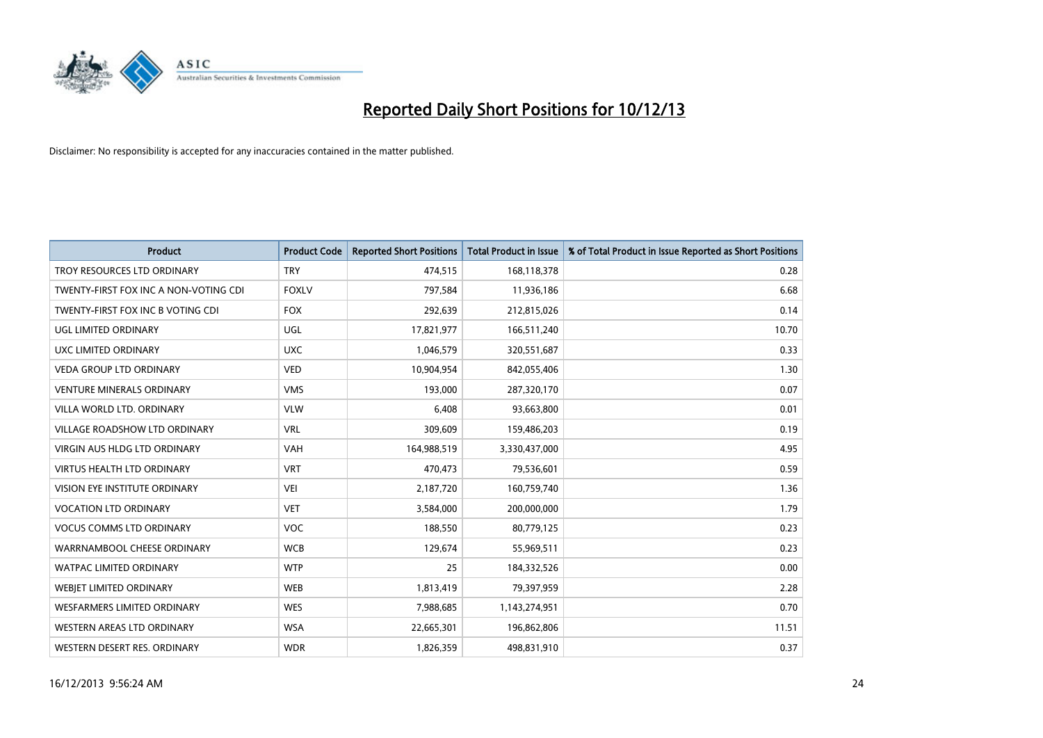

| <b>Product</b>                        | <b>Product Code</b> | <b>Reported Short Positions</b> | <b>Total Product in Issue</b> | % of Total Product in Issue Reported as Short Positions |
|---------------------------------------|---------------------|---------------------------------|-------------------------------|---------------------------------------------------------|
| TROY RESOURCES LTD ORDINARY           | <b>TRY</b>          | 474,515                         | 168,118,378                   | 0.28                                                    |
| TWENTY-FIRST FOX INC A NON-VOTING CDI | <b>FOXLV</b>        | 797,584                         | 11,936,186                    | 6.68                                                    |
| TWENTY-FIRST FOX INC B VOTING CDI     | <b>FOX</b>          | 292,639                         | 212,815,026                   | 0.14                                                    |
| UGL LIMITED ORDINARY                  | UGL                 | 17,821,977                      | 166,511,240                   | 10.70                                                   |
| <b>UXC LIMITED ORDINARY</b>           | <b>UXC</b>          | 1,046,579                       | 320,551,687                   | 0.33                                                    |
| <b>VEDA GROUP LTD ORDINARY</b>        | <b>VED</b>          | 10,904,954                      | 842,055,406                   | 1.30                                                    |
| <b>VENTURE MINERALS ORDINARY</b>      | <b>VMS</b>          | 193,000                         | 287,320,170                   | 0.07                                                    |
| VILLA WORLD LTD. ORDINARY             | <b>VLW</b>          | 6,408                           | 93,663,800                    | 0.01                                                    |
| <b>VILLAGE ROADSHOW LTD ORDINARY</b>  | <b>VRL</b>          | 309,609                         | 159,486,203                   | 0.19                                                    |
| VIRGIN AUS HLDG LTD ORDINARY          | <b>VAH</b>          | 164,988,519                     | 3,330,437,000                 | 4.95                                                    |
| VIRTUS HEALTH LTD ORDINARY            | <b>VRT</b>          | 470,473                         | 79,536,601                    | 0.59                                                    |
| <b>VISION EYE INSTITUTE ORDINARY</b>  | <b>VEI</b>          | 2,187,720                       | 160,759,740                   | 1.36                                                    |
| <b>VOCATION LTD ORDINARY</b>          | <b>VET</b>          | 3,584,000                       | 200,000,000                   | 1.79                                                    |
| <b>VOCUS COMMS LTD ORDINARY</b>       | <b>VOC</b>          | 188,550                         | 80,779,125                    | 0.23                                                    |
| WARRNAMBOOL CHEESE ORDINARY           | <b>WCB</b>          | 129,674                         | 55,969,511                    | 0.23                                                    |
| WATPAC LIMITED ORDINARY               | <b>WTP</b>          | 25                              | 184,332,526                   | 0.00                                                    |
| WEBJET LIMITED ORDINARY               | <b>WEB</b>          | 1,813,419                       | 79,397,959                    | 2.28                                                    |
| WESFARMERS LIMITED ORDINARY           | <b>WES</b>          | 7,988,685                       | 1,143,274,951                 | 0.70                                                    |
| WESTERN AREAS LTD ORDINARY            | <b>WSA</b>          | 22,665,301                      | 196,862,806                   | 11.51                                                   |
| WESTERN DESERT RES. ORDINARY          | <b>WDR</b>          | 1,826,359                       | 498,831,910                   | 0.37                                                    |